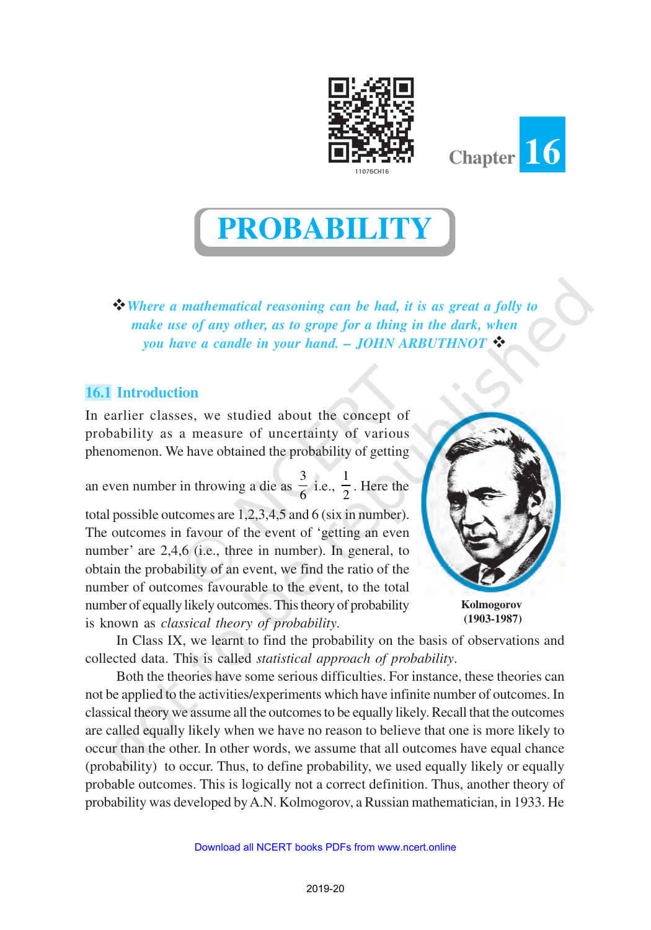



# **PROBABILITY**

v*Where a mathematical reasoning can be had, it is as great a folly to make use of any other, as to grope for a thing in the dark, when you have a candle in your hand. – JOHN ARBUTHNOT* 

## **16.1 Introduction**

In earlier classes, we studied about the concept of probability as a measure of uncertainty of various phenomenon. We have obtained the probability of getting

an even number in throwing a die as  $\frac{3}{6}$ 

total possible outcomes are 1,2,3,4,5 and 6 (six in number). The outcomes in favour of the event of 'getting an even number' are 2,4,6 (i.e., three in number). In general, to obtain the probability of an event, we find the ratio of the number of outcomes favourable to the event, to the total number of equally likely outcomes. This theory of probability is known as *classical theory of probability*.



**Kolmogorov (1903-1987)**

In Class IX, we learnt to find the probability on the basis of observations and collected data. This is called *statistical approach of probability*.

 $\frac{3}{6}$  i.e.,  $\frac{1}{2}$ 

 $\frac{1}{2}$ . Here the

Both the theories have some serious difficulties. For instance, these theories can not be applied to the activities/experiments which have infinite number of outcomes. In classical theory we assume all the outcomes to be equally likely. Recall that the outcomes are called equally likely when we have no reason to believe that one is more likely to occur than the other. In other words, we assume that all outcomes have equal chance (probability) to occur. Thus, to define probability, we used equally likely or equally probable outcomes. This is logically not a correct definition. Thus, another theory of probability was developed by A.N. Kolmogorov, a Russian mathematician, in 1933. He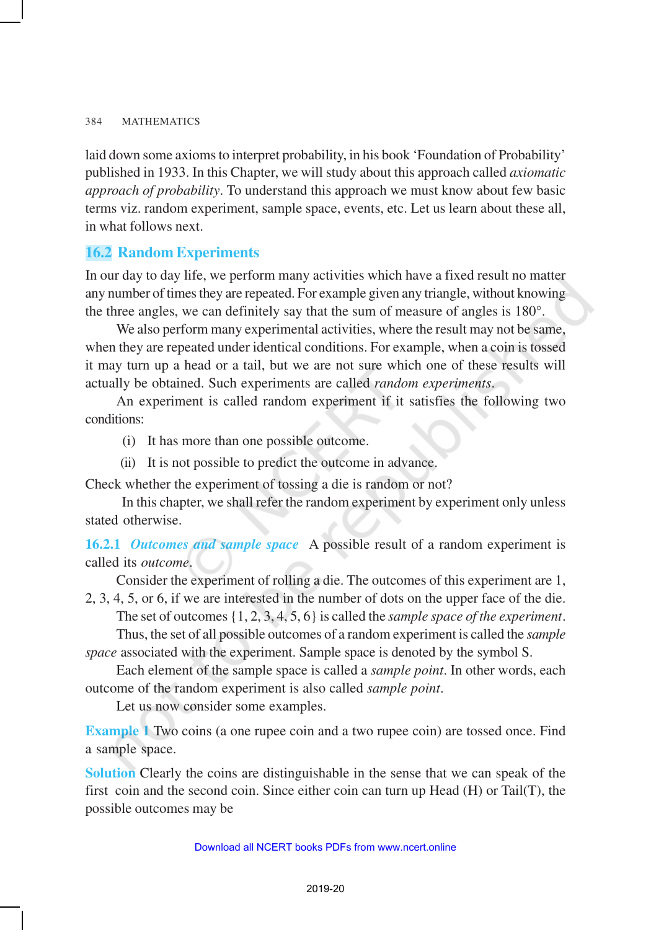laid down some axioms to interpret probability, in his book 'Foundation of Probability' published in 1933. In this Chapter, we will study about this approach called *axiomatic approach of probability*. To understand this approach we must know about few basic terms viz. random experiment, sample space, events, etc. Let us learn about these all, in what follows next.

## **16.2 Random Experiments**

In our day to day life, we perform many activities which have a fixed result no matter any number of times they are repeated. For example given any triangle, without knowing the three angles, we can definitely say that the sum of measure of angles is 180°.

We also perform many experimental activities, where the result may not be same, when they are repeated under identical conditions. For example, when a coin is tossed it may turn up a head or a tail, but we are not sure which one of these results will actually be obtained. Such experiments are called *random experiments*.

An experiment is called random experiment if it satisfies the following two conditions:

- (i) It has more than one possible outcome.
- (ii) It is not possible to predict the outcome in advance.

Check whether the experiment of tossing a die is random or not?

In this chapter, we shall refer the random experiment by experiment only unless stated otherwise.

**16.2.1** *Outcomes and sample space* A possible result of a random experiment is called its *outcome*.

Consider the experiment of rolling a die. The outcomes of this experiment are 1, 2, 3, 4, 5, or 6, if we are interested in the number of dots on the upper face of the die.

The set of outcomes {1, 2, 3, 4, 5, 6} is called the *sample space of the experiment*. Thus, the set of all possible outcomes of a random experiment is called the *sample space* associated with the experiment. Sample space is denoted by the symbol S.

Each element of the sample space is called a *sample point*. In other words, each outcome of the random experiment is also called *sample point*.

Let us now consider some examples.

**Example 1** Two coins (a one rupee coin and a two rupee coin) are tossed once. Find a sample space.

**Solution** Clearly the coins are distinguishable in the sense that we can speak of the first coin and the second coin. Since either coin can turn up Head (H) or Tail(T), the possible outcomes may be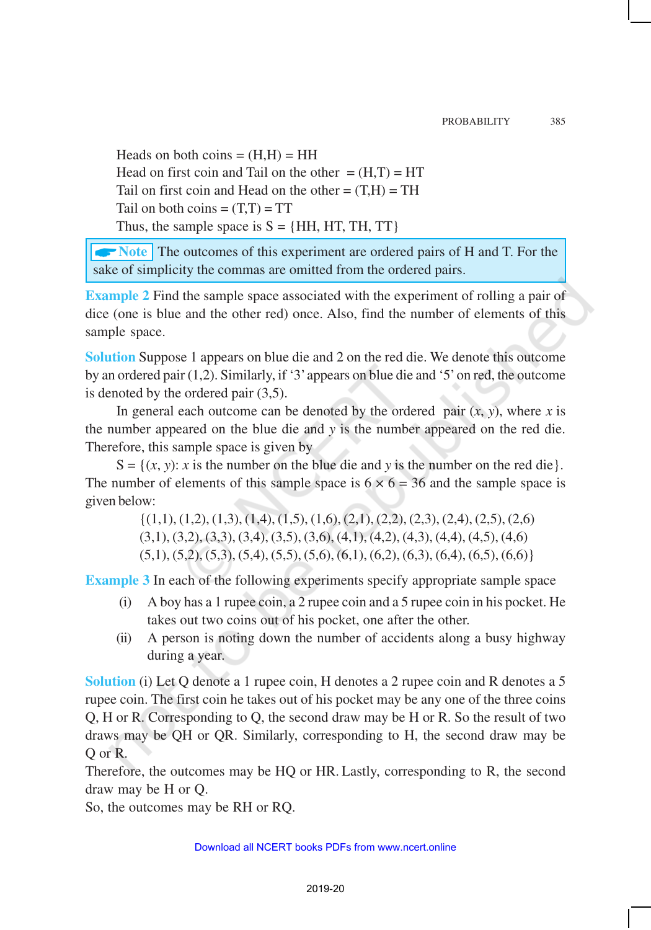Heads on both coins  $= (H,H) = HH$ Head on first coin and Tail on the other  $= (H,T) = HT$ Tail on first coin and Head on the other  $= (T,H) = TH$ Tail on both coins  $= (T,T) = TT$ Thus, the sample space is  $S = \{HH, HT, TH, TT\}$ 

**Analysis The outcomes of this experiment are ordered pairs of H and T. For the** sake of simplicity the commas are omitted from the ordered pairs.

**Example 2** Find the sample space associated with the experiment of rolling a pair of dice (one is blue and the other red) once. Also, find the number of elements of this sample space.

**Solution** Suppose 1 appears on blue die and 2 on the red die. We denote this outcome by an ordered pair (1,2). Similarly, if '3' appears on blue die and '5' on red, the outcome is denoted by the ordered pair (3,5).

In general each outcome can be denoted by the ordered pair  $(x, y)$ , where *x* is the number appeared on the blue die and *y* is the number appeared on the red die. Therefore, this sample space is given by

 $S = \{(x, y): x \text{ is the number on the blue die and } y \text{ is the number on the red die}\}.$ The number of elements of this sample space is  $6 \times 6 = 36$  and the sample space is given below:

> $\{(1,1), (1,2), (1,3), (1,4), (1,5), (1,6), (2,1), (2,2), (2,3), (2,4), (2,5), (2,6)\}$  $(3,1), (3,2), (3,3), (3,4), (3,5), (3,6), (4,1), (4,2), (4,3), (4,4), (4,5), (4,6)$  $(5,1), (5,2), (5,3), (5,4), (5,5), (5,6), (6,1), (6,2), (6,3), (6,4), (6,5), (6,6)$

**Example 3** In each of the following experiments specify appropriate sample space

- (i) A boy has a 1 rupee coin, a 2 rupee coin and a 5 rupee coin in his pocket. He takes out two coins out of his pocket, one after the other.
- (ii) A person is noting down the number of accidents along a busy highway during a year.

**Solution** (i) Let Q denote a 1 rupee coin, H denotes a 2 rupee coin and R denotes a 5 rupee coin. The first coin he takes out of his pocket may be any one of the three coins Q, H or R. Corresponding to Q, the second draw may be H or R. So the result of two draws may be QH or QR. Similarly, corresponding to H, the second draw may be Q or R.

Therefore, the outcomes may be HQ or HR. Lastly, corresponding to R, the second draw may be H or Q.

So, the outcomes may be RH or RQ.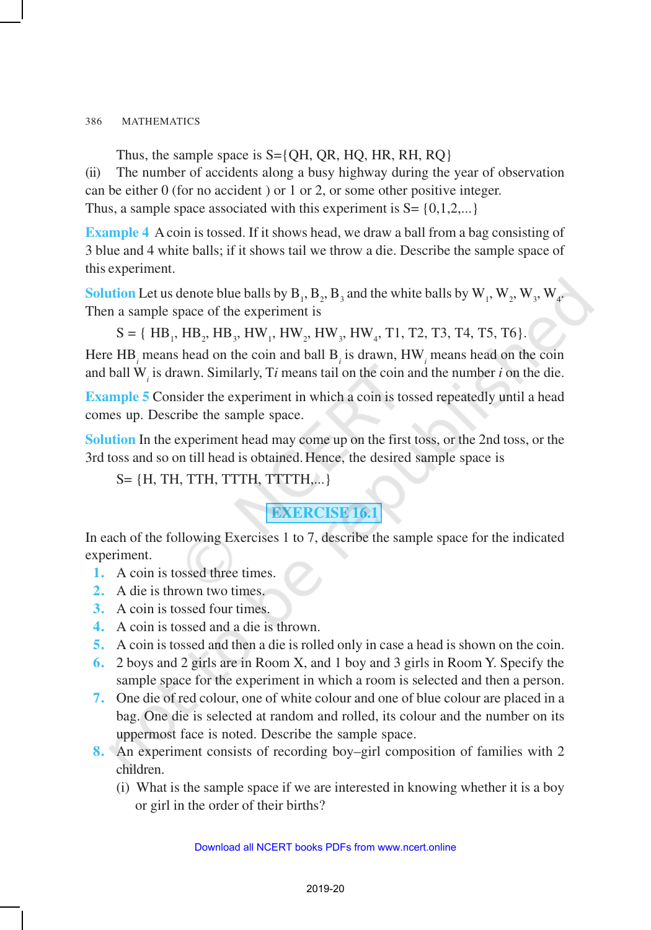Thus, the sample space is  $S = \{OH, OR, HO, HR, RH, RO\}$ 

(ii) The number of accidents along a busy highway during the year of observation can be either 0 (for no accident ) or 1 or 2, or some other positive integer.

Thus, a sample space associated with this experiment is  $S = \{0,1,2,...\}$ 

**Example 4** A coin is tossed. If it shows head, we draw a ball from a bag consisting of 3 blue and 4 white balls; if it shows tail we throw a die. Describe the sample space of this experiment.

**Solution** Let us denote blue balls by  $B_1$ ,  $B_2$ ,  $B_3$  and the white balls by  $W_1$ ,  $W_2$ ,  $W_3$ ,  $W_4$ . Then a sample space of the experiment is

 $S = \{HB_1, HB_2, HB_3, HW_1, HW_2, HW_3, HW_4, T1, T2, T3, T4, T5, T6\}.$ 

Here  $HB_i$  means head on the coin and ball  $B_i$  is drawn,  $HW_i$  means head on the coin and ball W*<sup>i</sup>* is drawn. Similarly, T*i* means tail on the coin and the number *i* on the die.

**Example 5** Consider the experiment in which a coin is tossed repeatedly until a head comes up. Describe the sample space.

**Solution** In the experiment head may come up on the first toss, or the 2nd toss, or the 3rd toss and so on till head is obtained.Hence, the desired sample space is

S= {H, TH, TTH, TTTH, TTTTH,...}

## **EXERCISE 16.1**

In each of the following Exercises 1 to 7, describe the sample space for the indicated experiment.

- **1.** A coin is tossed three times.
- **2.** A die is thrown two times.
- **3.** A coin is tossed four times.
- **4.** A coin is tossed and a die is thrown.
- **5.** A coin is tossed and then a die is rolled only in case a head is shown on the coin.
- **6.** 2 boys and 2 girls are in Room X, and 1 boy and 3 girls in Room Y. Specify the sample space for the experiment in which a room is selected and then a person.
- **7.** One die of red colour, one of white colour and one of blue colour are placed in a bag. One die is selected at random and rolled, its colour and the number on its uppermost face is noted. Describe the sample space.
- **8.** An experiment consists of recording boy–girl composition of families with 2 children.
	- (i) What is the sample space if we are interested in knowing whether it is a boy or girl in the order of their births?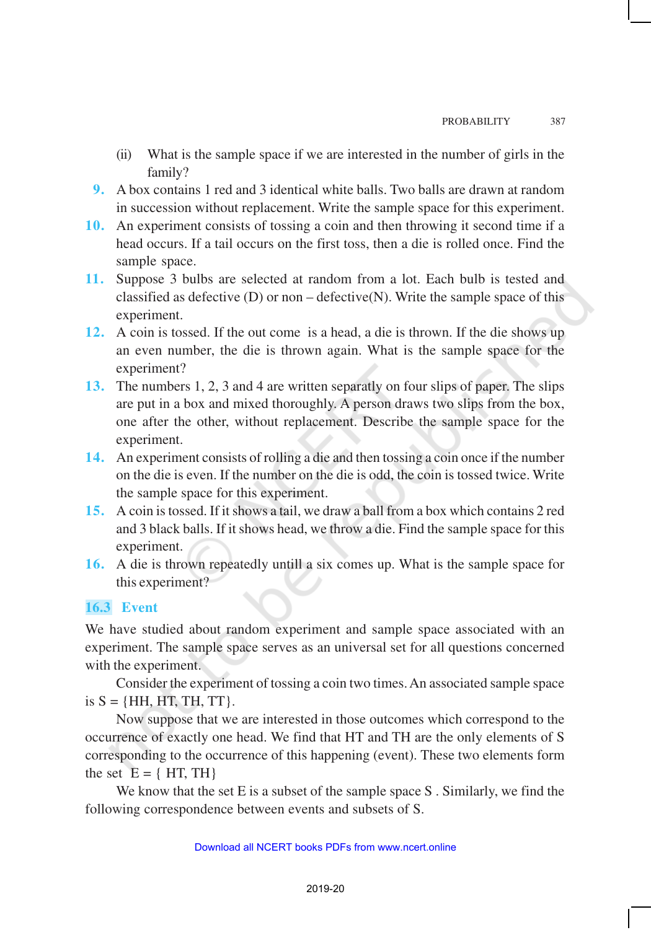- (ii) What is the sample space if we are interested in the number of girls in the family?
- **9.** A box contains 1 red and 3 identical white balls. Two balls are drawn at random in succession without replacement. Write the sample space for this experiment.
- **10.** An experiment consists of tossing a coin and then throwing it second time if a head occurs. If a tail occurs on the first toss, then a die is rolled once. Find the sample space.
- **11.** Suppose 3 bulbs are selected at random from a lot. Each bulb is tested and classified as defective  $(D)$  or non – defective $(N)$ . Write the sample space of this experiment.
- **12.** A coin is tossed. If the out come is a head, a die is thrown. If the die shows up an even number, the die is thrown again. What is the sample space for the experiment?
- **13.** The numbers 1, 2, 3 and 4 are written separatly on four slips of paper. The slips are put in a box and mixed thoroughly. A person draws two slips from the box, one after the other, without replacement. Describe the sample space for the experiment.
- **14.** An experiment consists of rolling a die and then tossing a coin once if the number on the die is even. If the number on the die is odd, the coin is tossed twice. Write the sample space for this experiment.
- **15.** A coin is tossed. If it shows a tail, we draw a ball from a box which contains 2 red and 3 black balls. If it shows head, we throw a die. Find the sample space for this experiment.
- **16.** A die is thrown repeatedly untill a six comes up. What is the sample space for this experiment?

## **16.3 Event**

We have studied about random experiment and sample space associated with an experiment. The sample space serves as an universal set for all questions concerned with the experiment.

Consider the experiment of tossing a coin two times. An associated sample space is  $S = \{HH, HT, TH, TT\}$ .

Now suppose that we are interested in those outcomes which correspond to the occurrence of exactly one head. We find that HT and TH are the only elements of S corresponding to the occurrence of this happening (event). These two elements form the set  $E = \{ HT, TH \}$ 

We know that the set E is a subset of the sample space S. Similarly, we find the following correspondence between events and subsets of S.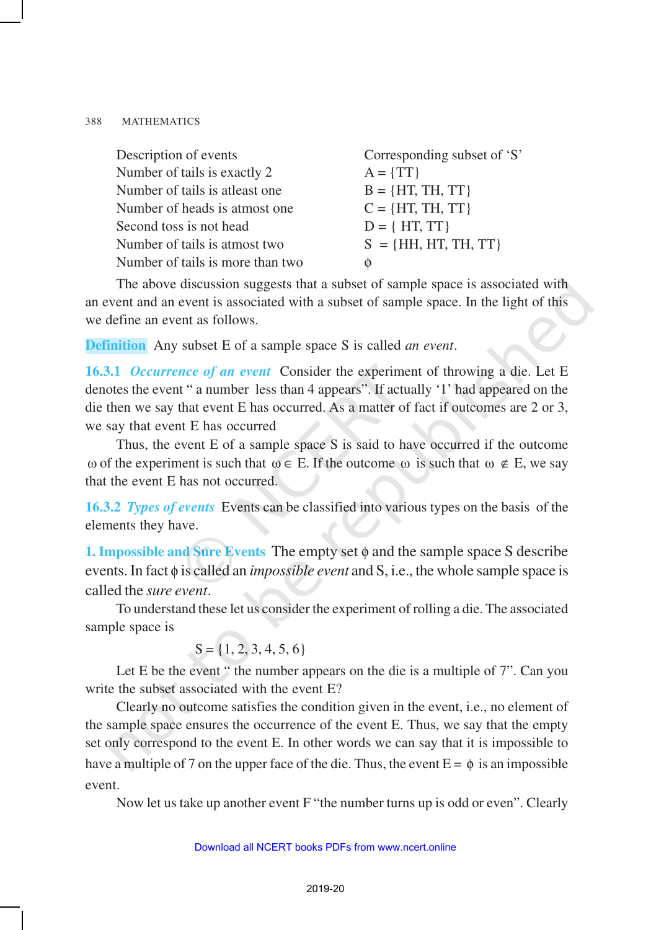| Description of events            | Corresponding subset of 'S' |
|----------------------------------|-----------------------------|
| Number of tails is exactly 2     | $A = \{TT\}$                |
| Number of tails is at least one. | $B = \{HT, TH, TT\}$        |
| Number of heads is atmost one.   | $C = \{HT, TH, TT\}$        |
| Second toss is not head          | $D = \{ HT, TT \}$          |
| Number of tails is atmost two    | $S = \{HH, HT, TH, TT\}$    |
| Number of tails is more than two | $\mathbb O$                 |

The above discussion suggests that a subset of sample space is associated with an event and an event is associated with a subset of sample space. In the light of this we define an event as follows.

**Definition** Any subset E of a sample space S is called *an event*.

**16.3.1** *Occurrence of an event* Consider the experiment of throwing a die. Let E denotes the event " a number less than 4 appears". If actually '1' had appeared on the die then we say that event E has occurred. As a matter of fact if outcomes are 2 or 3, we say that event E has occurred

Thus, the event E of a sample space S is said to have occurred if the outcome ω of the experiment is such that ω ∈ E. If the outcome ω is such that ω ∉ E, we say that the event E has not occurred.

**16.3.2** *Types of events* Events can be classified into various types on the basis of the elements they have.

**1. Impossible and Sure Events** The empty set φ and the sample space S describe events. In fact φ is called an *impossible event* and S, i.e., the whole sample space is called the *sure event*.

To understand these let us consider the experiment of rolling a die. The associated sample space is

$$
S = \{1, 2, 3, 4, 5, 6\}
$$

Let E be the event " the number appears on the die is a multiple of 7". Can you write the subset associated with the event E?

Clearly no outcome satisfies the condition given in the event, i.e., no element of the sample space ensures the occurrence of the event E. Thus, we say that the empty set only correspond to the event E. In other words we can say that it is impossible to have a multiple of 7 on the upper face of the die. Thus, the event  $E = \phi$  is an impossible event.

Now let us take up another event F "the number turns up is odd or even". Clearly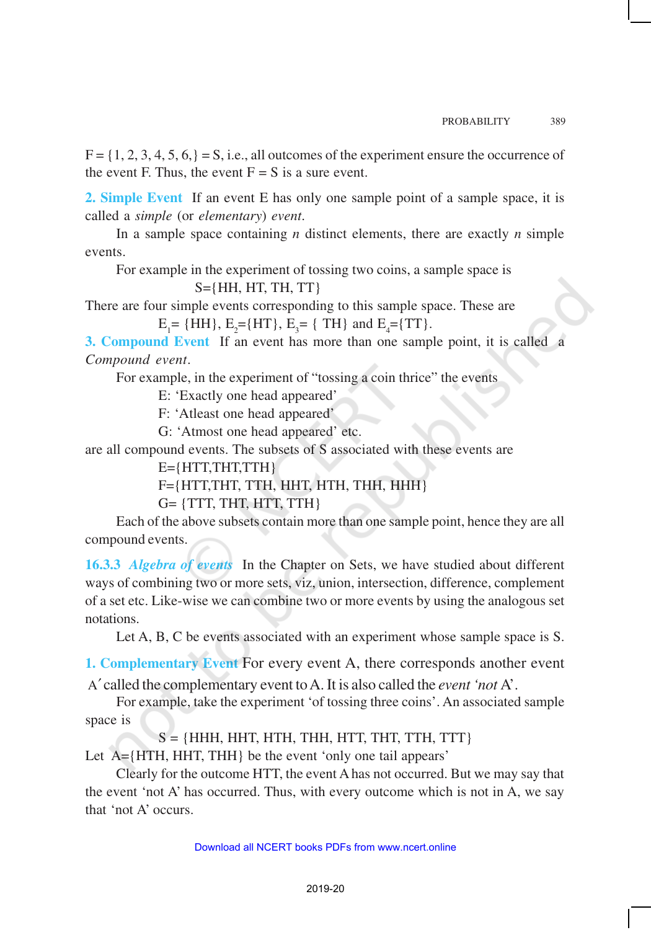$F = \{1, 2, 3, 4, 5, 6\} = S$ , i.e., all outcomes of the experiment ensure the occurrence of the event F. Thus, the event  $F = S$  is a sure event.

**2. Simple Event** If an event E has only one sample point of a sample space, it is called a *simple* (or *elementary*) *event*.

In a sample space containing *n* distinct elements, there are exactly *n* simple events.

For example in the experiment of tossing two coins, a sample space is

 $S = \{HH, HT, TH, TT\}$ 

There are four simple events corresponding to this sample space. These are  $E_1 = \{HH\}, E_2 = \{HT\}, E_3 = \{TH\}$  and  $E_4 = \{TT\}.$ 

**3. Compound Event** If an event has more than one sample point, it is called a *Compound event*.

For example, in the experiment of "tossing a coin thrice" the events

E: 'Exactly one head appeared'

F: 'Atleast one head appeared'

G: 'Atmost one head appeared' etc.

are all compound events. The subsets of S associated with these events are

 $E = \{HTT, THT, TTH\}$ 

F={HTT,THT, TTH, HHT, HTH, THH, HHH}

G= {TTT, THT, HTT, TTH}

Each of the above subsets contain more than one sample point, hence they are all compound events.

**16.3.3** *Algebra of events* In the Chapter on Sets, we have studied about different ways of combining two or more sets, viz, union, intersection, difference, complement of a set etc. Like-wise we can combine two or more events by using the analogous set notations.

Let A, B, C be events associated with an experiment whose sample space is S.

**1. Complementary Event** For every event A, there corresponds another event

A′ called the complementary event to A. It is also called the *event 'not* A'.

For example, take the experiment 'of tossing three coins'. An associated sample space is

 $S = \{HHH, HHT, HTH, THH, HTT, THT, TTH, TTT\}$ 

Let A={HTH, HHT, THH} be the event 'only one tail appears'

Clearly for the outcome HTT, the event A has not occurred. But we may say that the event 'not A' has occurred. Thus, with every outcome which is not in A, we say that 'not A' occurs.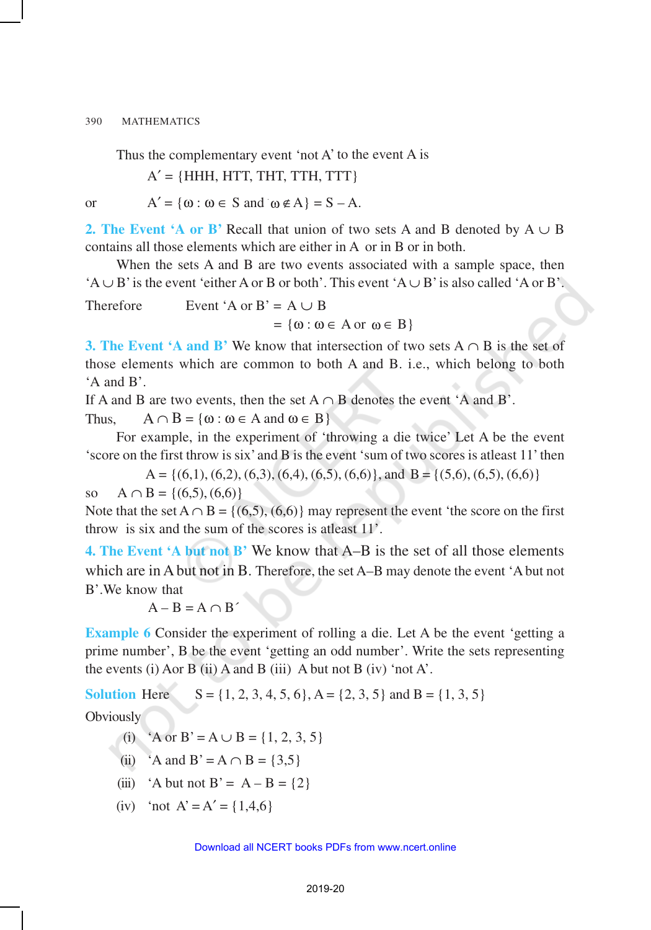Thus the complementary event 'not A' to the event A is

 $A' = \{HHH, HTT, THT, TTH, TTT\}$ 

or 
$$
A' = \{ \omega : \omega \in S \text{ and } \omega \notin A \} = S - A.
$$

**2. The Event 'A or B'** Recall that union of two sets A and B denoted by A ∪ B contains all those elements which are either in A or in B or in both.

When the sets A and B are two events associated with a sample space, then 'A ∪ B' is the event 'either A or B or both'. This event 'A∪ B' is also called 'A or B'.

Therefore Event 'A or  $B' = A \cup B$ 

 $= \{ \omega : \omega \in A \text{ or } \omega \in B \}$ 

**3. The Event 'A and B'** We know that intersection of two sets A ∩ B is the set of those elements which are common to both A and B. i.e., which belong to both 'A and B'.

If A and B are two events, then the set  $A \cap B$  denotes the event 'A and B'. Thus,  $A \cap B = \{ \omega : \omega \in A \text{ and } \omega \in B \}$ 

For example, in the experiment of 'throwing a die twice' Let A be the event 'score on the first throw is six' and B is the event 'sum of two scores is atleast 11' then

 $A = \{(6,1), (6,2), (6,3), (6,4), (6,5), (6,6)\}$ , and  $B = \{(5,6), (6,5), (6,6)\}$ so  $A \cap B = \{(6,5), (6,6)\}\$ 

Note that the set A ∩ B = {(6,5), (6,6)} may represent the event 'the score on the first throw is six and the sum of the scores is atleast 11'.

**4. The Event 'A but not B'** We know that A–B is the set of all those elements which are in A but not in B. Therefore, the set A–B may denote the event 'A but not B'.We know that

 $A - B = A \cap B'$ 

**Example 6** Consider the experiment of rolling a die. Let A be the event 'getting a prime number', B be the event 'getting an odd number'. Write the sets representing the events (i) Aor B (ii) A and B (iii) A but not B (iv) 'not A'.

**Solution** Here  $S = \{1, 2, 3, 4, 5, 6\}, A = \{2, 3, 5\}$  and  $B = \{1, 3, 5\}$ 

**Obviously** 

- (i) 'A or B' =  $A \cup B = \{1, 2, 3, 5\}$
- (ii) 'A and B' = A  $\cap$  B = {3,5}
- (iii) 'A but not B' =  $A B = \{2\}$
- (iv) 'not  $A' = A' = \{1,4,6\}$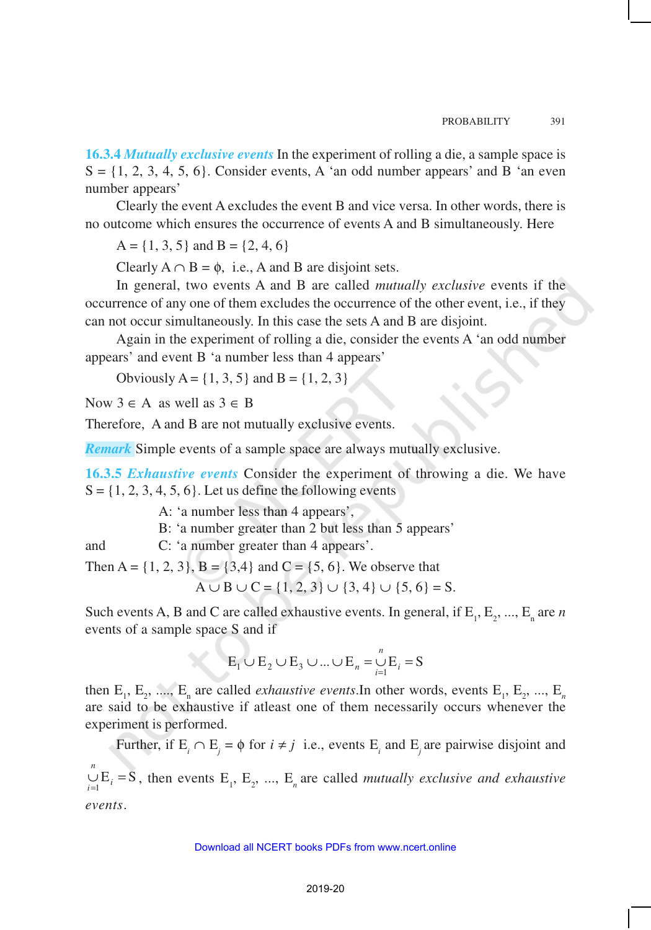**16.3.4** *Mutually exclusive events* In the experiment of rolling a die, a sample space is  $S = \{1, 2, 3, 4, 5, 6\}$ . Consider events, A 'an odd number appears' and B 'an even number appears'

Clearly the event A excludes the event B and vice versa. In other words, there is no outcome which ensures the occurrence of events A and B simultaneously. Here

 $A = \{1, 3, 5\}$  and  $B = \{2, 4, 6\}$ 

Clearly  $A \cap B = \emptyset$ , i.e., A and B are disjoint sets.

In general, two events A and B are called *mutually exclusive* events if the occurrence of any one of them excludes the occurrence of the other event, i.e., if they can not occur simultaneously. In this case the sets A and B are disjoint.

Again in the experiment of rolling a die, consider the events A 'an odd number appears' and event B 'a number less than 4 appears'

Obviously  $A = \{1, 3, 5\}$  and  $B = \{1, 2, 3\}$ 

Now  $3 \in A$  as well as  $3 \in B$ 

Therefore, A and B are not mutually exclusive events.

*Remark* Simple events of a sample space are always mutually exclusive.

**16.3.5** *Exhaustive events* Consider the experiment of throwing a die. We have  $S = \{1, 2, 3, 4, 5, 6\}$ . Let us define the following events

A: 'a number less than 4 appears',

B: 'a number greater than 2 but less than 5 appears'

and C: 'a number greater than 4 appears'.

Then  $A = \{1, 2, 3\}, B = \{3, 4\}$  and  $C = \{5, 6\}.$  We observe that

 $A \cup B \cup C = \{1, 2, 3\} \cup \{3, 4\} \cup \{5, 6\} = S.$ 

Such events A, B and C are called exhaustive events. In general, if  $E_1, E_2, ..., E_n$  are *n* events of a sample space S and if

$$
E_1 \cup E_2 \cup E_3 \cup \ldots \cup E_n = \bigcup_{i=1}^n E_i = S
$$

then  $E_1, E_2, \dots, E_n$  are called *exhaustive events*. In other words, events  $E_1, E_2, \dots, E_n$ are said to be exhaustive if atleast one of them necessarily occurs whenever the experiment is performed.

Further, if  $E_i \cap E_j = \emptyset$  for  $i \neq j$  i.e., events  $E_i$  and  $E_j$  are pairwise disjoint and  $\bigcup_{i=1}$   $E_i$  =  $\overline{S}$ *n*  $\bigcup_{i=1}^{\infty}$  E<sub>i</sub> = S, then events E<sub>1</sub>, E<sub>2</sub>, ..., E<sub>n</sub> are called *mutually exclusive and exhaustive events*.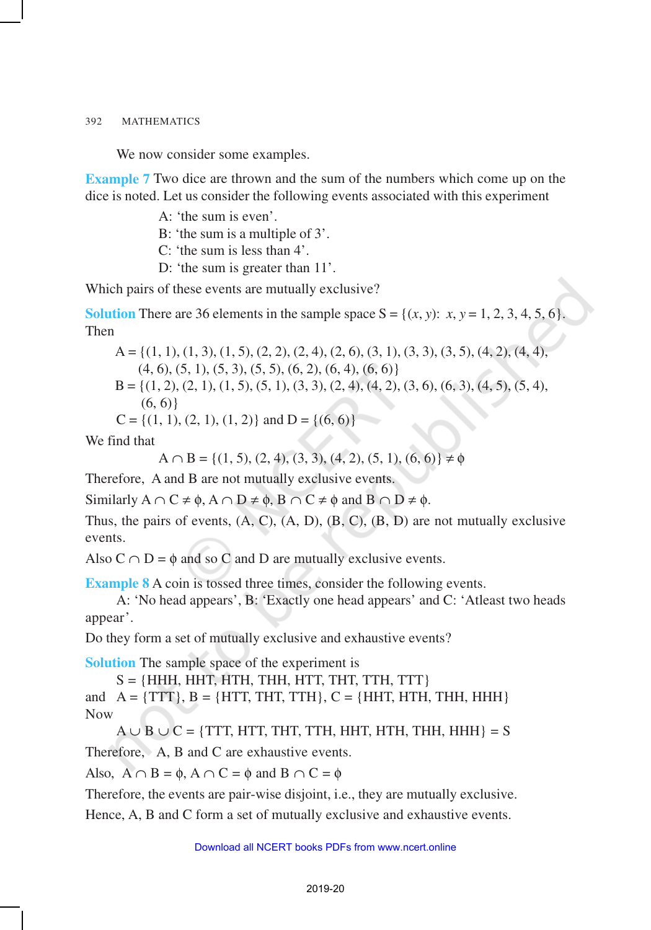We now consider some examples.

**Example 7** Two dice are thrown and the sum of the numbers which come up on the dice is noted. Let us consider the following events associated with this experiment

A: 'the sum is even'.

B: 'the sum is a multiple of 3'.

C: 'the sum is less than 4'.

D: 'the sum is greater than 11'.

Which pairs of these events are mutually exclusive?

**Solution** There are 36 elements in the sample space  $S = \{(x, y): x, y = 1, 2, 3, 4, 5, 6\}.$ Then

 $A = \{(1, 1), (1, 3), (1, 5), (2, 2), (2, 4), (2, 6), (3, 1), (3, 3), (3, 5), (4, 2), (4, 4),$  $(4, 6), (5, 1), (5, 3), (5, 5), (6, 2), (6, 4), (6, 6)$  $B = \{(1, 2), (2, 1), (1, 5), (5, 1), (3, 3), (2, 4), (4, 2), (3, 6), (6, 3), (4, 5), (5, 4),$  $(6, 6)$ 

$$
C = \{(1, 1), (2, 1), (1, 2)\} \text{ and } D = \{(6, 6)\}\
$$

We find that

 $A \cap B = \{(1, 5), (2, 4), (3, 3), (4, 2), (5, 1), (6, 6)\} \neq \emptyset$ 

Therefore, A and B are not mutually exclusive events.

Similarly  $A \cap C \neq \emptyset$ ,  $A \cap D \neq \emptyset$ ,  $B \cap C \neq \emptyset$  and  $B \cap D \neq \emptyset$ .

Thus, the pairs of events,  $(A, C), (A, D), (B, C), (B, D)$  are not mutually exclusive events.

Also  $C \cap D = \emptyset$  and so C and D are mutually exclusive events.

**Example 8** A coin is tossed three times, consider the following events.

A: 'No head appears', B: 'Exactly one head appears' and C: 'Atleast two heads appear'.

Do they form a set of mutually exclusive and exhaustive events?

**Solution** The sample space of the experiment is

 $S = \{HHH, HHT, HTH, THH, HTT, THT, TTH, TTT\}$ and  $A = \{TTT\}$ ,  $B = \{HTT, THT, TTH\}$ ,  $C = \{HHT, HTH, THH, HHH\}$ Now

 $A \cup B \cup C = \{TTT, HTT, THT, TTH, HHT, HTH, THH, HHH\} = S$ Therefore, A, B and C are exhaustive events.

Also,  $A \cap B = \phi$ ,  $A \cap C = \phi$  and  $B \cap C = \phi$ 

Therefore, the events are pair-wise disjoint, i.e., they are mutually exclusive. Hence, A, B and C form a set of mutually exclusive and exhaustive events.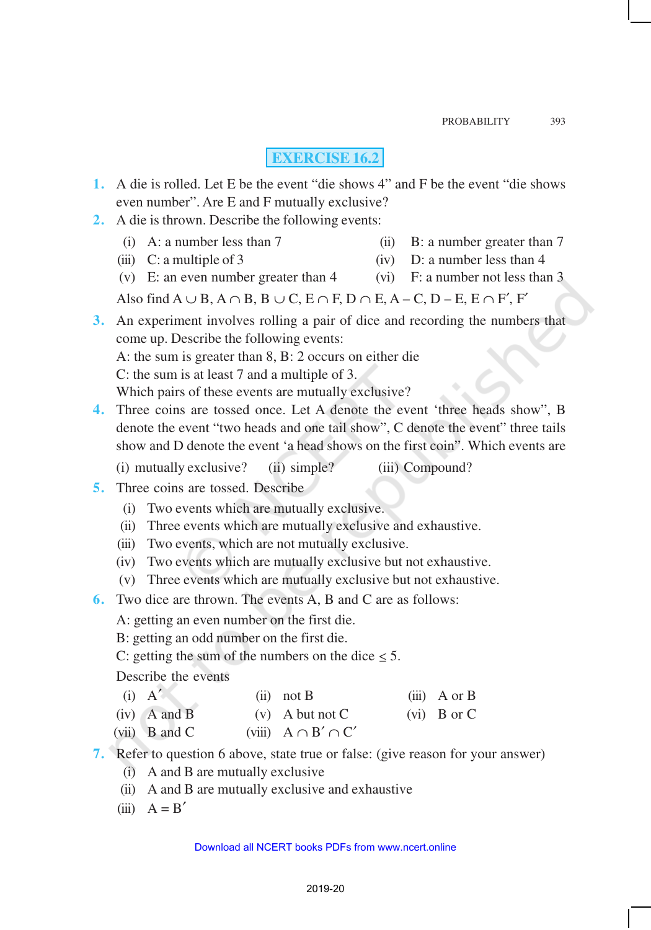## **EXERCISE 16.2**

- **1.** A die is rolled. Let E be the event "die shows 4" and F be the event "die shows even number". Are E and F mutually exclusive?
- **2.** A die is thrown. Describe the following events:
	-
	- (i) A: a number less than 7 (ii) B: a number greater than 7
	-
	- (iii) C: a multiple of 3 (iv) D: a number less than 4
	- (v) E: an even number greater than  $4$  (vi) F: a number not less than 3

Also find  $A \cup B$ ,  $A \cap B$ ,  $B \cup C$ ,  $E \cap F$ ,  $D \cap E$ ,  $A - C$ ,  $D - E$ ,  $E \cap F'$ ,  $F'$ 

**3.** An experiment involves rolling a pair of dice and recording the numbers that come up. Describe the following events: A: the sum is greater than 8, B: 2 occurs on either die C: the sum is at least 7 and a multiple of 3. Which pairs of these events are mutually exclusive?

**4.** Three coins are tossed once. Let A denote the event 'three heads show", B denote the event "two heads and one tail show", C denote the event" three tails show and D denote the event 'a head shows on the first coin". Which events are

- (i) mutually exclusive? (ii) simple? (iii) Compound?
- **5.** Three coins are tossed. Describe.
	- (i) Two events which are mutually exclusive.
	- (ii) Three events which are mutually exclusive and exhaustive.
	- (iii) Two events, which are not mutually exclusive.
	- (iv) Two events which are mutually exclusive but not exhaustive.
	- (v) Three events which are mutually exclusive but not exhaustive.
- **6.** Two dice are thrown. The events A, B and C are as follows:

A: getting an even number on the first die.

B: getting an odd number on the first die.

C: getting the sum of the numbers on the dice  $\leq 5$ .

Describe the events

- (i)  $A'$  (ii) not B (iii) A or B (iv) A and B (v) A but not C (vi) B or C
- (viii) B and C (viii)  $A \cap B' \cap C'$

**7.** Refer to question 6 above, state true or false: (give reason for your answer)

- (i) A and B are mutually exclusive
- (ii) A and B are mutually exclusive and exhaustive
- (iii)  $A = B'$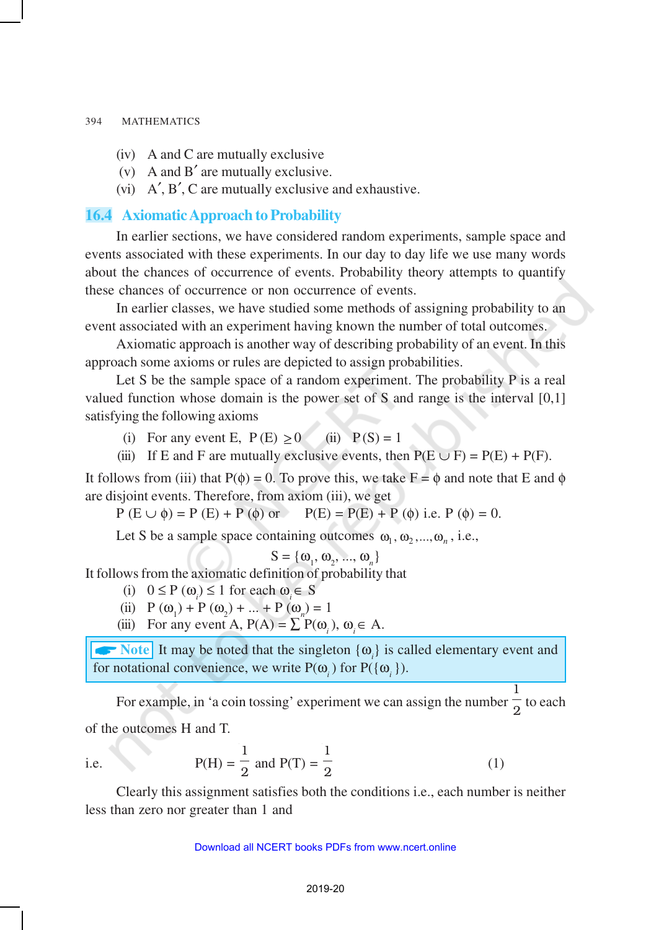- (iv) A and C are mutually exclusive
- (v) A and B′ are mutually exclusive.
- (vi) A′, B′, C are mutually exclusive and exhaustive.

## **16.4 Axiomatic Approach to Probability**

In earlier sections, we have considered random experiments, sample space and events associated with these experiments. In our day to day life we use many words about the chances of occurrence of events. Probability theory attempts to quantify these chances of occurrence or non occurrence of events.

In earlier classes, we have studied some methods of assigning probability to an event associated with an experiment having known the number of total outcomes.

Axiomatic approach is another way of describing probability of an event. In this approach some axioms or rules are depicted to assign probabilities.

Let S be the sample space of a random experiment. The probability P is a real valued function whose domain is the power set of S and range is the interval [0,1] satisfying the following axioms

(i) For any event E,  $P(E) > 0$  (ii)  $P(S) = 1$ 

(iii) If E and F are mutually exclusive events, then  $P(E \cup F) = P(E) + P(F)$ .

It follows from (iii) that  $P(\phi) = 0$ . To prove this, we take  $F = \phi$  and note that E and  $\phi$ are disjoint events. Therefore, from axiom (iii), we get

 $P(E \cup \phi) = P(E) + P(\phi)$  or  $P(E) = P(E) + P(\phi)$  i.e.  $P(\phi) = 0$ .

Let S be a sample space containing outcomes  $\omega_1, \omega_2, ..., \omega_n$ , i.e.,

$$
S = {\omega_1, \omega_2, ..., \omega_n}
$$

It follows from the axiomatic definition of probability that

- (i)  $0 \le P(\omega_i) \le 1$  for each  $\omega_i \in S$
- (ii)  $P(\omega_1) + P(\omega_2) + ... + P(\omega_n) = 1$
- (iii) For any event A,  $P(A) = \sum P(\omega_i)$ ,  $\omega_i \in A$ .

**ANOTE** It may be noted that the singleton  $\{\omega_i\}$  is called elementary event and for notational convenience, we write  $P(\omega_i)$  for  $P({\omega_i})$ ).

For example, in 'a coin tossing' experiment we can assign the number 1  $\frac{1}{2}$  to each of the outcomes H and T.

i.e. 
$$
P(H) = \frac{1}{2}
$$
 and  $P(T) = \frac{1}{2}$  (1)

Clearly this assignment satisfies both the conditions i.e., each number is neither less than zero nor greater than 1 and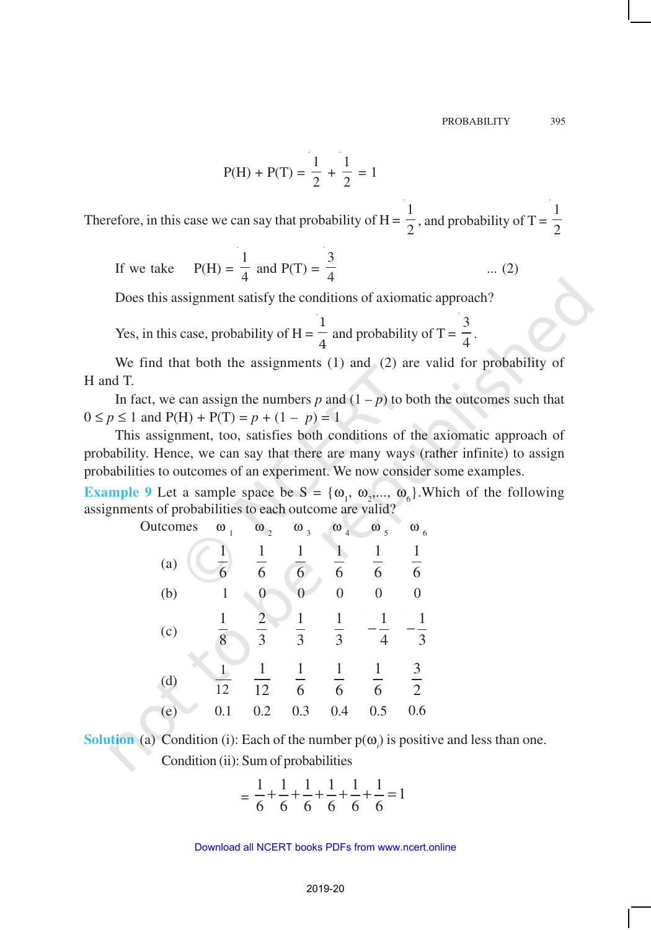$$
P(H) + P(T) = \frac{1}{2} + \frac{1}{2} = 1
$$

Therefore, in this case we can say that probability of  $H = \frac{1}{2}$  , and probability of T =  $\frac{1}{2}$ 

If we take 
$$
P(H) = \frac{1}{4}
$$
 and  $P(T) = \frac{3}{4}$  ... (2)

Does this assignment satisfy the conditions of axiomatic approach?

Yes, in this case, probability of  $H =$   $\frac{1}{4}$  and probability of T =  $\frac{1}{4}$  .

We find that both the assignments (1) and (2) are valid for probability of H and T.

In fact, we can assign the numbers  $p$  and  $(1 - p)$  to both the outcomes such that  $0 \le p \le 1$  and  $P(H) + P(T) = p + (1 - p) = 1$ 

This assignment, too, satisfies both conditions of the axiomatic approach of probability. Hence, we can say that there are many ways (rather infinite) to assign probabilities to outcomes of an experiment. We now consider some examples.

**Example 9** Let a sample space be  $S = {\omega_1, \omega_2,..., \omega_6}$ . Which of the following assignments of probabilities to each outcome are valid?

| Outcomes | $\omega_1$     | $\omega_2$ | $\omega_3$ | $\omega$ <sup>4</sup> | $\omega$ <sub>5</sub> | $\omega_6$     |
|----------|----------------|------------|------------|-----------------------|-----------------------|----------------|
|          |                |            |            |                       |                       |                |
| (a)      | $\overline{6}$ | 6          | 6          | 6                     | 6                     | 6              |
| (b)      |                | 0          |            |                       |                       |                |
|          |                | 2          |            |                       |                       |                |
| (c)      | 8              | 3          | 3          | 3                     |                       | $\mathcal{R}$  |
|          | 1              |            |            |                       |                       |                |
| (d)      | 12             | 12         | 6          | 6                     | 6                     | $\overline{2}$ |
| (e)      | 0.1            | 0.2        | 0.3        | 0.4                   | 0.5                   | 0.6            |
|          |                |            |            |                       |                       |                |

**Solution** (a) Condition (i): Each of the number  $p(\omega_i)$  is positive and less than one. Condition (ii): Sum of probabilities

$$
= \frac{1}{6} + \frac{1}{6} + \frac{1}{6} + \frac{1}{6} + \frac{1}{6} + \frac{1}{6} = 1
$$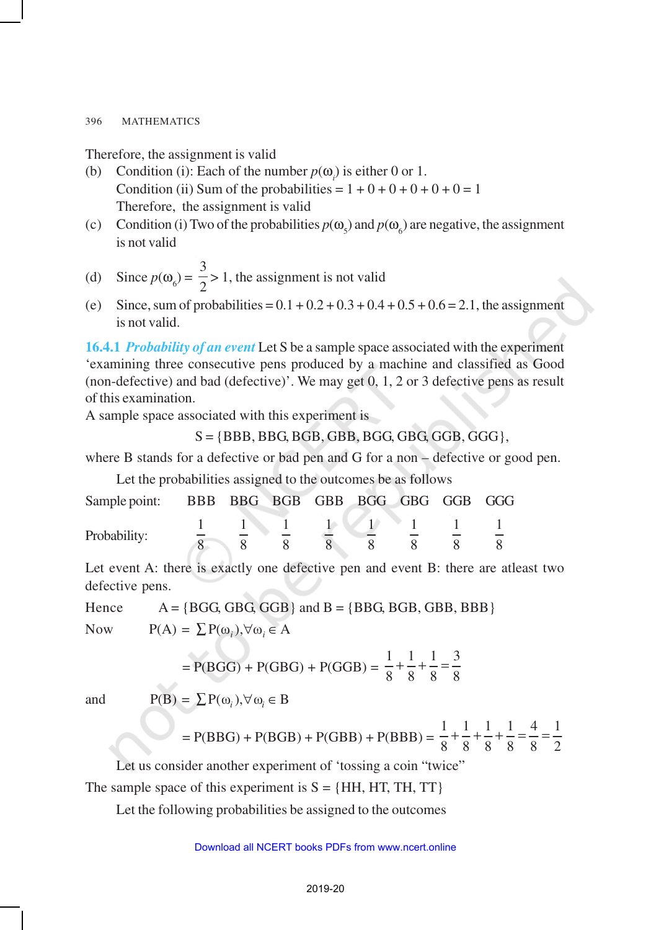Therefore, the assignment is valid

- (b) Condition (i): Each of the number  $p(\omega)$  is either 0 or 1. Condition (ii) Sum of the probabilities =  $1 + 0 + 0 + 0 + 0 + 0 = 1$ Therefore, the assignment is valid
- (c) Condition (i) Two of the probabilities  $p(\omega_5)$  and  $p(\omega_6)$  are negative, the assignment is not valid
- (d) Since  $p(\omega_6) =$ 3  $\frac{1}{2}$  > 1, the assignment is not valid
- (e) Since, sum of probabilities =  $0.1 + 0.2 + 0.3 + 0.4 + 0.5 + 0.6 = 2.1$ , the assignment is not valid.

**16.4.1** *Probability of an event* Let S be a sample space associated with the experiment 'examining three consecutive pens produced by a machine and classified as Good (non-defective) and bad (defective)'. We may get 0, 1, 2 or 3 defective pens as result of this examination.

A sample space associated with this experiment is

 $S = {BBB, BBG, BGB, GBB, BGG, GBG, GGB, GGG}.$ 

where B stands for a defective or bad pen and G for a non – defective or good pen.

Let the probabilities assigned to the outcomes be as follows Sample point: BBB BBG BGB GBB BGG GBG GGB GGG Probability: 1 8 1 8 1 8 1 8 1 8 1 8 1 8 1

Let event A: there is exactly one defective pen and event B: there are atleast two defective pens.

Hence  $A = \{BGG, GBG, GGB\}$  and  $B = \{BBG, BGB, GBB, BBB\}$ Now  $P(A) = \sum P(\omega_i), \forall \omega_i \in A$ 

$$
= P(BGG) + P(GBG) + P(GGB) = \frac{1}{8} + \frac{1}{8} + \frac{1}{8} = \frac{3}{8}
$$

and  $P(B) = \sum P(\omega_i), \forall \omega_i \in B$ 

 $= P(BBG) + P(BGB) + P(BBB) + P(BBB) = \frac{1}{8} + \frac{1}{8} + \frac{1}{8} + \frac{1}{8} = \frac{1}{8} = \frac{1}{2}$ 1 8 4 8 1 8 1 8 1 8  $\frac{1}{2} + \frac{1}{2} + \frac{1}{2} + \frac{1}{3} = \frac{4}{3} =$ 

Let us consider another experiment of 'tossing a coin "twice" The sample space of this experiment is  $S = \{HH, HT, TH, TT\}$ 

Let the following probabilities be assigned to the outcomes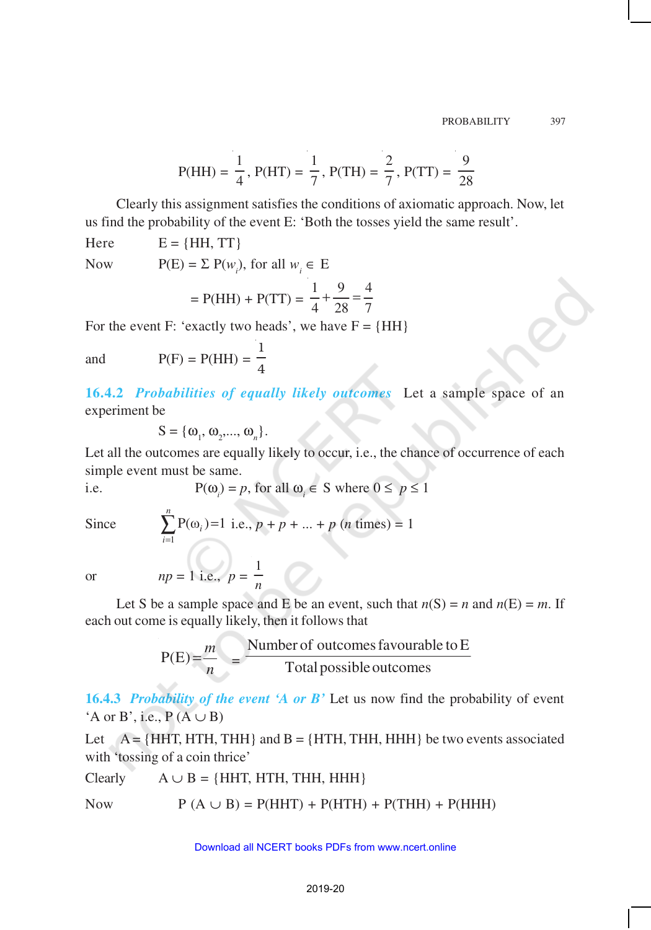$$
P(HH) = \frac{1}{4}
$$
,  $P(HT) = \frac{1}{7}$ ,  $P(TH) = \frac{2}{7}$ ,  $P(TT) = \frac{9}{28}$ 

Clearly this assignment satisfies the conditions of axiomatic approach. Now, let us find the probability of the event E: 'Both the tosses yield the same result'.

Here  $E = \{HH, TT\}$ 

Now  $P(E) = \sum P(w_i)$ , for all  $w_i \in E$ 

$$
= P(HH) + P(TT) = \frac{1}{4} + \frac{9}{28} = \frac{4}{7}
$$

For the event F: 'exactly two heads', we have  $F = \{HH\}$ 

1 4

and 
$$
P(F) = P(HH) =
$$

**16.4.2** *Probabilities of equally likely outcomes* Let a sample space of an experiment be

$$
S = {\omega_1, \omega_2, ..., \omega_n}.
$$

Let all the outcomes are equally likely to occur, i.e., the chance of occurrence of each simple event must be same.

i.e. 
$$
P(\omega_i) = p
$$
, for all  $\omega_i \in S$  where  $0 \le p \le 1$ 

Since

$$
\sum_{i=1}^{n} P(\omega_i) = 1
$$
 i.e.,  $p + p + ... + p$  (*n* times) = 1

or 
$$
np = 1
$$
 i.e.,  $p = \frac{1}{n}$ 

Let S be a sample space and E be an event, such that  $n(S) = n$  and  $n(E) = m$ . If each out come is equally likely, then it follows that

$$
P(E) = \frac{m}{n}
$$
 =  $\frac{\text{Number of outcomes favourable to E}}{\text{Total possible outcomes}}$ 

**16.4.3** *Probability of the event 'A or B'* Let us now find the probability of event  $'A$  or B', i.e., P  $(A \cup B)$ 

Let  $A = \{ HHT, HTH, THH \}$  and  $B = \{ HTH, THH, HHH \}$  be two events associated with 'tossing of a coin thrice'

Clearly  $A \cup B = \{ HHT, HTH, THH, HHH \}$ 

Now  $P(A \cup B) = P(HHT) + P(HTH) + P(THH) + P(HHH)$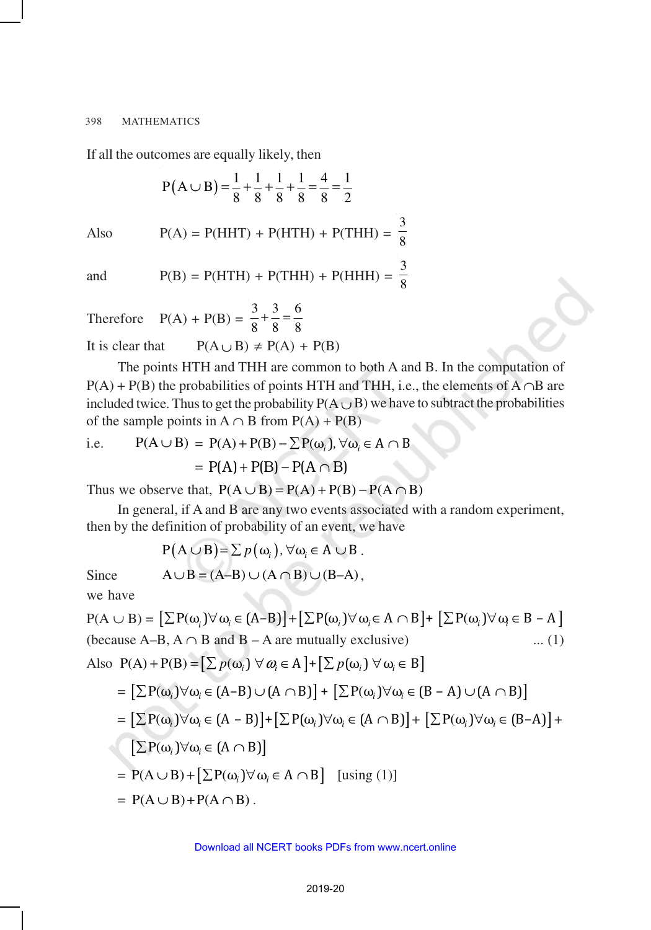If all the outcomes are equally likely, then

$$
P(A \cup B) = \frac{1}{8} + \frac{1}{8} + \frac{1}{8} + \frac{1}{8} = \frac{4}{8} = \frac{1}{2}
$$
  
Also 
$$
P(A) = P(HHT) + P(HTH) + P(THH) = \frac{3}{8}
$$

and 
$$
P(B) = P(HTH) + P(THH) + P(HHH) =
$$

Therefore  $P(A) + P(B) = \frac{3}{8} + \frac{3}{8} = \frac{6}{8}$ 8 8 8  $+ \frac{3}{2} =$ It is clear that  $P(A \cup B) \neq P(A) + P(B)$ 

The points HTH and THH are common to both A and B. In the computation of  $P(A)$  +  $P(B)$  the probabilities of points HTH and THH, i.e., the elements of A ∩B are

included twice. Thus to get the probability  $P(A \cup B)$  we have to subtract the probabilities of the sample points in  $A \cap B$  from  $P(A) + P(B)$ i.e.  $P(A \cup B) = P(A) + P(B) - \sum P(\omega) \ \forall \omega$ 

$$
P(A \cup B) = P(A) + P(B) - \sum P(\omega_i), \forall \omega_i \in A \cap B
$$

$$
= P(A) + P(B) - P(A \cap B)
$$

Thus we observe that,  $P(A \cup B) = P(A) + P(B) - P(A \cap B)$ 

In general, if A and B are any two events associated with a random experiment, then by the definition of probability of an event, we have

3 8

$$
P(A \cup B) = \sum p(\omega_i), \forall \omega_i \in A \cup B.
$$

Since  $A \cup B = (A-B) \cup (A \cap B) \cup (B-A)$ , we have

$$
P(A \cup B) = [\sum P(\omega_i) \forall \omega_i \in (A - B)] + [\sum P(\omega_i) \forall \omega_i \in A \cap B] + [\sum P(\omega_i) \forall \omega_i \in B - A]
$$
  
(because A - B, A  $\cap$  B and B - A are mutually exclusive) ... (1)

Also  $P(A) + P(B) = [\sum p(\omega_i) \; \forall \omega_i \in A] + [\sum p(\omega_i) \; \forall \omega_i \in B]$ 

$$
= [\sum P(\omega_i) \forall \omega_i \in (A - B) \cup (A \cap B)] + [\sum P(\omega_i) \forall \omega_i \in (B - A) \cup (A \cap B)]
$$

$$
= [\sum P(\omega_i) \forall \omega_i \in (A - B)] + [\sum P(\omega_i) \forall \omega_i \in (A \cap B)] + [\sum P(\omega_i) \forall \omega_i \in (B - A)] + [\sum P(\omega_i) \forall \omega_i \in (A \cap B)]
$$

$$
= P(A \cup B) + [\sum P(\omega_i) \forall \omega_i \in A \cap B] \quad [using (1)]
$$

$$
= P(A \cup B) + P(A \cap B).
$$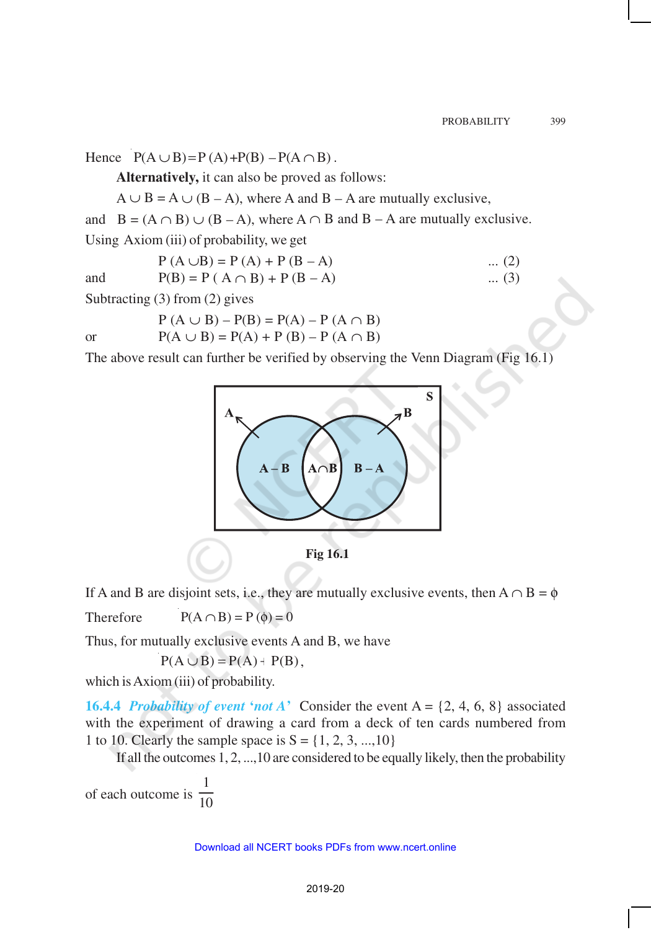Hence  $P(A \cup B) = P(A) + P(B) - P(A \cap B)$ .

**Alternatively,** it can also be proved as follows:

 $A \cup B = A \cup (B - A)$ , where A and B – A are mutually exclusive,

and  $B = (A \cap B) \cup (B - A)$ , where  $A \cap B$  and  $B - A$  are mutually exclusive. Using Axiom (iii) of probability, we get

$$
P(A \cup B) = P(A) + P(B - A)
$$
 ... (2)

and 
$$
P(B) = P(A \cap B) + P(B - A)
$$
 ... (3)

Subtracting (3) from (2) gives

$$
P (A \cup B) - P(B) = P(A) - P (A \cap B)
$$
  
or 
$$
P(A \cup B) = P(A) + P (B) - P (A \cap B)
$$

The above result can further be verified by observing the Venn Diagram (Fig 16.1)



If A and B are disjoint sets, i.e., they are mutually exclusive events, then  $A \cap B = \emptyset$ 

Therefore  $P(A \cap B) = P(\phi) = 0$ 

Thus, for mutually exclusive events A and B, we have

 $P(A \cup B) = P(A) - P(B)$ ,

which is Axiom (iii) of probability.

**16.4.4 Probability of event 'not A'** Consider the event  $A = \{2, 4, 6, 8\}$  associated with the experiment of drawing a card from a deck of ten cards numbered from 1 to 10. Clearly the sample space is  $S = \{1, 2, 3, ..., 10\}$ 

If all the outcomes 1, 2, ...,10 are considered to be equally likely, then the probability

of each outcome is  $\frac{1}{10}$ 1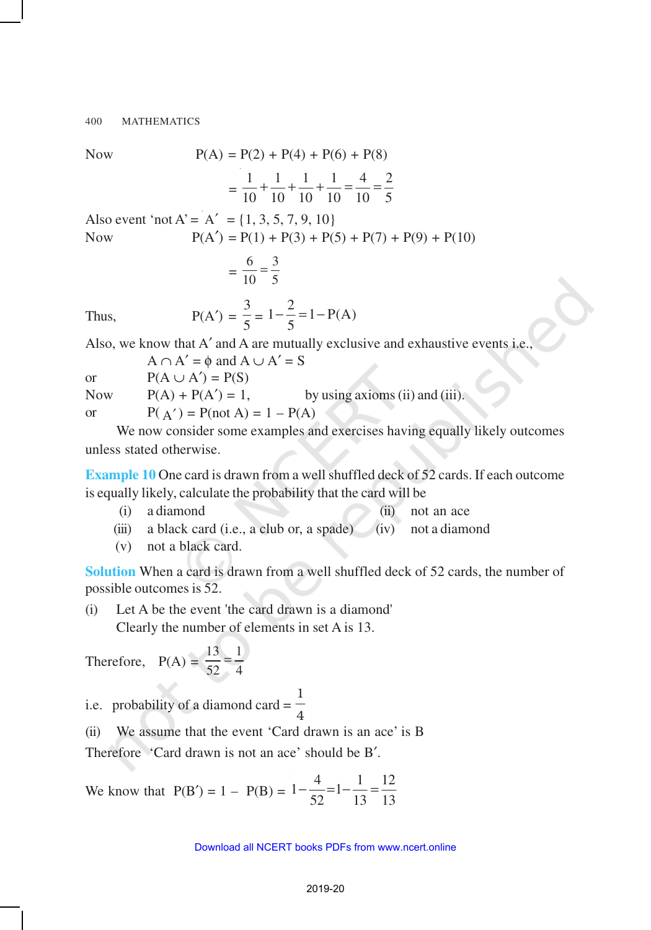Now 
$$
P(A) = P(2) + P(4) + P(6) + P(8)
$$

$$
= \frac{1}{10} + \frac{1}{10} + \frac{1}{10} + \frac{1}{10} = \frac{4}{10} = \frac{2}{5}
$$

Also event 'not A' =  $A' = \{1, 3, 5, 7, 9, 10\}$ Now  $P(A') = P(1) + P(3) + P(5) + P(7) + P(9) + P(10)$ 

$$
=\frac{6}{10}=\frac{3}{5}
$$

3

Thus,  $P(A') =$ 

 $\frac{5}{5} = 1 - \frac{2}{5} = 1 - P(A)$ Also, we know that  $A'$  and  $A$  are mutually exclusive and exhaustive events i.e.

 $1 - \frac{2}{7} = 1 -$ 

 $A \cap A' = \emptyset$  and  $A \cup A' = S$ or  $P(A \cup A') = P(S)$ Now  $P(A) + P(A') = 1$ , by using axioms (ii) and (iii). or  $P(A') = P(\text{not } A) = 1 - P(A)$ 

We now consider some examples and exercises having equally likely outcomes unless stated otherwise.

**Example 10** One card is drawn from a well shuffled deck of 52 cards. If each outcome is equally likely, calculate the probability that the card will be

- (i) a diamond (ii) not an ace
- (iii) a black card (i.e., a club or, a spade) (iv) not a diamond
- (v) not a black card.

**Solution** When a card is drawn from a well shuffled deck of 52 cards, the number of possible outcomes is 52.

(i) Let A be the event 'the card drawn is a diamond' Clearly the number of elements in set A is 13.

Therefore,  $P(A) = \frac{13}{52} = \frac{1}{4}$ 52 4 =

i.e. probability of a diamond card = 1 4

(ii) We assume that the event 'Card drawn is an ace' is B Therefore 'Card drawn is not an ace' should be B′.

We know that  $P(B') = 1 - P(B) = 1 - \frac{1}{52} = 1 - \frac{1}{13} = \frac{1}{13}$ 12 13  $1-\frac{1}{16}$ 52  $1 - \frac{4}{52} = 1 - \frac{1}{12} =$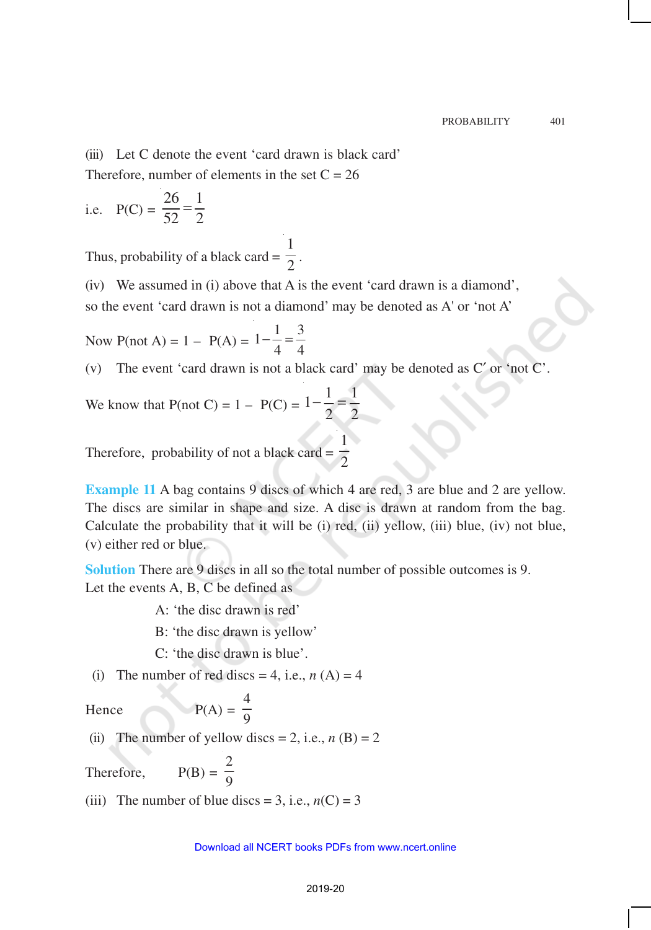(iii) Let C denote the event 'card drawn is black card' Therefore, number of elements in the set  $C = 26$ 

i.e. 
$$
P(C) = \frac{26}{52} = \frac{1}{2}
$$

Thus, probability of a black card =  $\frac{1}{2}$ 1 .

(iv) We assumed in (i) above that A is the event 'card drawn is a diamond', so the event 'card drawn is not a diamond' may be denoted as A' or 'not A'

Now P(not A) =  $1 - P(A) = 1 - \frac{1}{4} = \frac{1}{4}$ 3 4  $1 - \frac{1}{1} =$ 

(v) The event 'card drawn is not a black card' may be denoted as C′ or 'not C'.

We know that  $P(\text{not } C) = 1 - P(C) = 1 - \frac{1}{2} = \frac{1}{2}$ 1 2  $1 - \frac{1}{2} =$ 

Therefore, probability of not a black card =  $\frac{1}{2}$ 1

**Example 11** A bag contains 9 discs of which 4 are red, 3 are blue and 2 are yellow. The discs are similar in shape and size. A disc is drawn at random from the bag. Calculate the probability that it will be (i) red, (ii) yellow, (iii) blue, (iv) not blue, (v) either red or blue.

**Solution** There are 9 discs in all so the total number of possible outcomes is 9. Let the events A, B, C be defined as

A: 'the disc drawn is red'

B: 'the disc drawn is yellow'

C: 'the disc drawn is blue'.

(i) The number of red discs = 4, i.e.,  $n(A) = 4$ 

Hence  $P(A)$ 

$$
A) = \frac{4}{9}
$$

(ii) The number of yellow discs = 2, i.e.,  $n(B) = 2$ 

2

Therefore,  $P(B) = \frac{1}{9}$ 

(iii) The number of blue discs = 3, i.e.,  $n(C) = 3$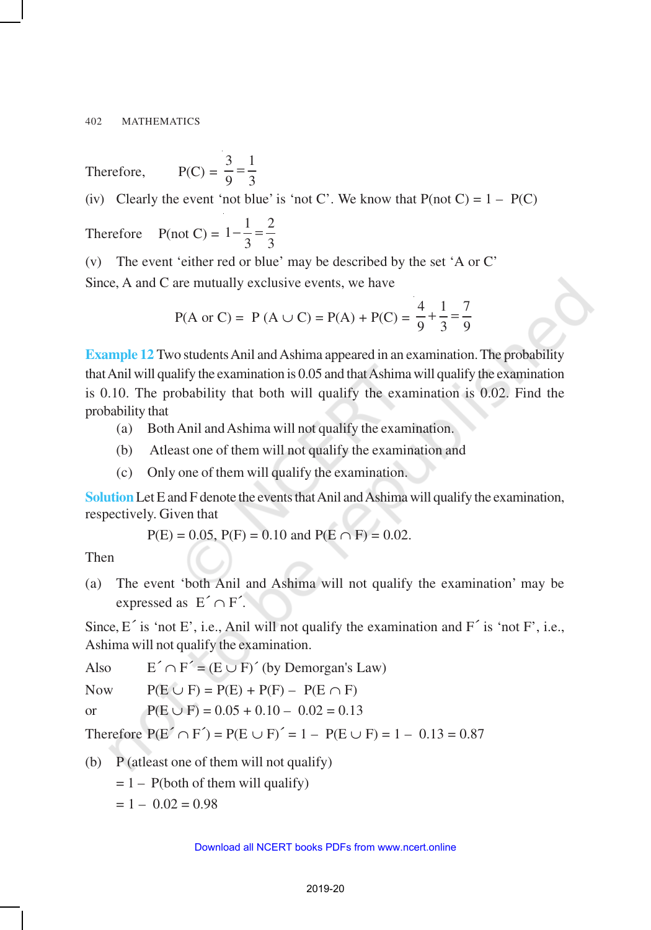Therefore,  $P(C) = \frac{1}{9} = \frac{1}{3}$ 1 9  $\frac{3}{2}$  =

(iv) Clearly the event 'not blue' is 'not C'. We know that  $P(\text{not } C) = 1 - P(C)$ 

Therefore P(not C) =  $1 - \frac{1}{3} = \frac{1}{3}$ 2 3  $1 - \frac{1}{2} =$ 

(v) The event 'either red or blue' may be described by the set 'A or C' Since, A and C are mutually exclusive events, we have

$$
P(A \text{ or } C) = P(A \cup C) = P(A) + P(C) = \frac{4}{9} + \frac{1}{3} = \frac{7}{9}
$$

**Example 12** Two students Anil and Ashima appeared in an examination. The probability that Anil will qualify the examination is 0.05 and that Ashima will qualify the examination is 0.10. The probability that both will qualify the examination is 0.02. Find the probability that

- (a) Both Anil and Ashima will not qualify the examination.
- (b) Atleast one of them will not qualify the examination and
- (c) Only one of them will qualify the examination.

**Solution** Let E and F denote the events that Anil and Ashima will qualify the examination, respectively. Given that

$$
P(E) = 0.05
$$
,  $P(F) = 0.10$  and  $P(E \cap F) = 0.02$ .

Then

(a) The event 'both Anil and Ashima will not qualify the examination' may be expressed as  $E' \cap F'$ .

Since,  $E'$  is 'not E', i.e., Anil will not qualify the examination and  $F'$  is 'not F', i.e., Ashima will not qualify the examination.

Also  $E' \cap F' = (E \cup F)'$  (by Demorgan's Law)

Now  $P(E \cup F) = P(E) + P(F) - P(E \cap F)$ 

or  $P(E \cup F) = 0.05 + 0.10 - 0.02 = 0.13$ 

Therefore  $P(E' \cap F') = P(E \cup F)' = 1 - P(E \cup F) = 1 - 0.13 = 0.87$ 

(b)  $\overline{P}$  (at least one of them will not qualify)

 $= 1 - P$ (both of them will qualify)

$$
= 1 - 0.02 = 0.98
$$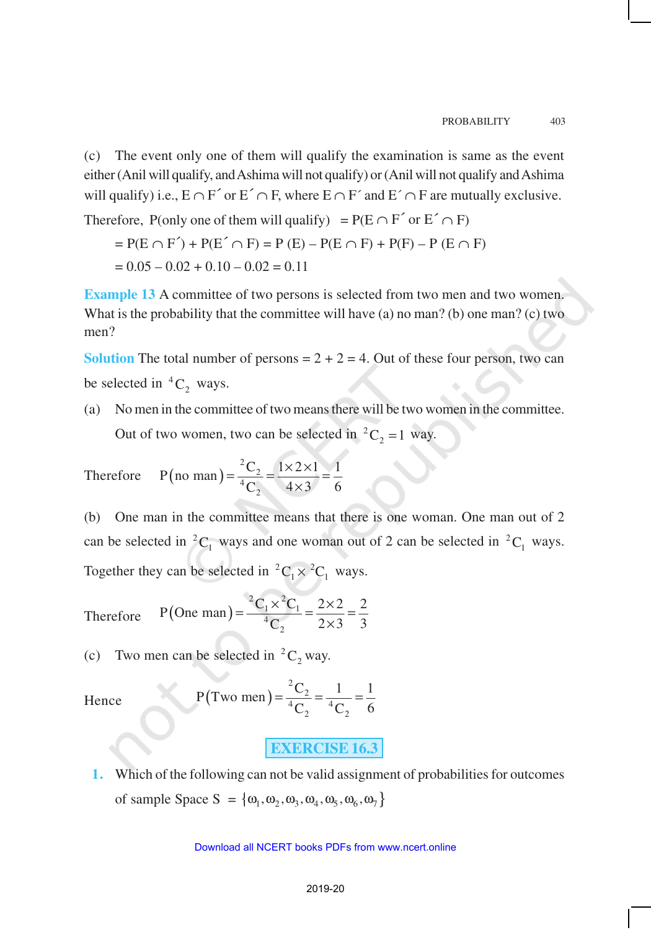(c) The event only one of them will qualify the examination is same as the event either (Anil will qualify, and Ashima will not qualify) or (Anil will not qualify and Ashima will qualify) i.e.,  $E \cap F'$  or  $E' \cap F$ , where  $E \cap F'$  and  $E' \cap F$  are mutually exclusive.

Therefore, P(only one of them will qualify) =  $P(E \cap F'$  or  $E' \cap F$ )

$$
= P(E \cap F') + P(E' \cap F) = P(E) - P(E \cap F) + P(F) - P(E \cap F)
$$

$$
= 0.05 - 0.02 + 0.10 - 0.02 = 0.11
$$

**Example 13** A committee of two persons is selected from two men and two women. What is the probability that the committee will have (a) no man? (b) one man? (c) two men?

**Solution** The total number of persons  $= 2 + 2 = 4$ . Out of these four person, two can be selected in  ${}^4C_2$  ways.

(a) No men in the committee of two means there will be two women in the committee. Out of two women, two can be selected in  ${}^{2}C_{2} = 1$  way.

Therefore 
$$
P(\text{no man}) = \frac{{}^{2}C_{2}}{{}^{4}C_{2}} = \frac{1 \times 2 \times 1}{4 \times 3} = \frac{1}{6}
$$

(b) One man in the committee means that there is one woman. One man out of 2 can be selected in  ${}^{2}C_{1}$  ways and one woman out of 2 can be selected in  ${}^{2}C_{1}$  ways. Together they can be selected in <sup>2</sup> $C_1 \times$  <sup>2</sup> $C_1$  ways.

Therefore 
$$
P(\text{One man}) = \frac{{}^{2}C_{1} \times {}^{2}C_{1}}{{}^{4}C_{2}} = \frac{2 \times 2}{2 \times 3} = \frac{2}{3}
$$

(c) Two men can be selected in  ${}^{2}C_{2}$  way.

**Hence** 

$$
P(Two men) = \frac{{}^{2}C_{2}}{{}^{4}C_{2}} = \frac{1}{{}^{4}C_{2}} = \frac{1}{6}
$$

## **EXERCISE 16.3**

**1.** Which of the following can not be valid assignment of probabilities for outcomes of sample Space  $S = {\omega_1, \omega_2, \omega_3, \omega_4, \omega_5, \omega_6, \omega_7}$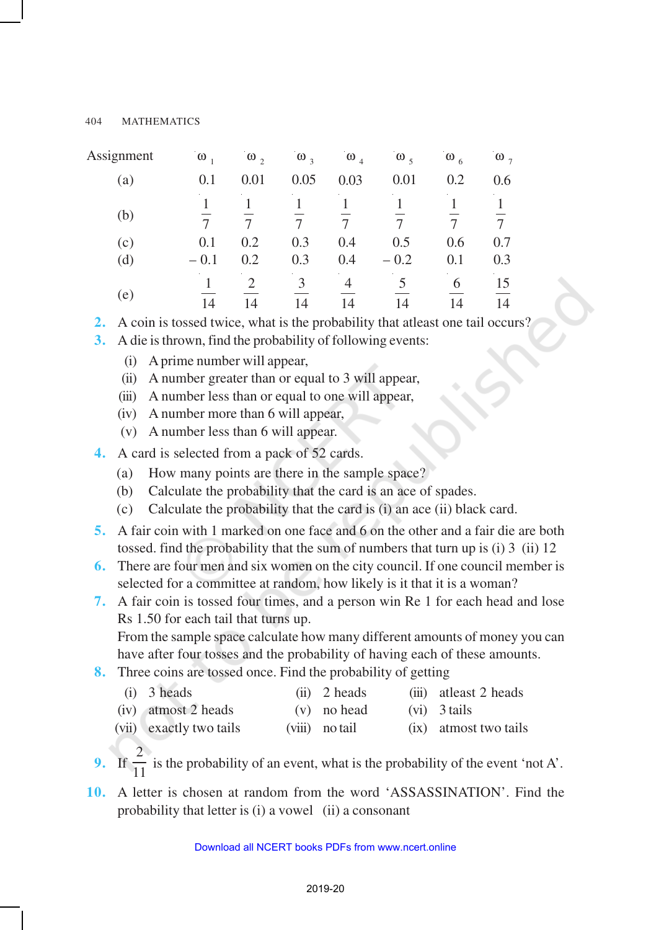| Assignment | $\omega$ , | $\omega$ , | $\omega$ <sub>3</sub> | $\omega$ <sub>4</sub> | $\omega_5$ | $\omega_6$ | $\omega$ <sub>7</sub> |
|------------|------------|------------|-----------------------|-----------------------|------------|------------|-----------------------|
| (a)        | 0.1        | 0.01       | 0.05                  | 0.03                  | 0.01       | 0.2        | 0.6                   |
| (b)        | 7          | 7          |                       |                       |            |            | 7                     |
| (c)        | 0.1        | 0.2        | 0.3                   | 0.4                   | 0.5        | 0.6        | 0.7                   |
| (d)        | $-0.1$     | 0.2        | 0.3                   | 0.4                   | $-0.2$     | 0.1        | 0.3                   |
|            |            |            | 3                     | 4                     |            | 6          | 15                    |
| (e)        | 14         | 14         | 14                    | 14                    | 14         | 14         | 14                    |

- **2.** A coin is tossed twice, what is the probability that atleast one tail occurs?
- **3.** A die is thrown, find the probability of following events:
	- (i) A prime number will appear,
	- (ii) A number greater than or equal to 3 will appear,
	- (iii) A number less than or equal to one will appear,
	- (iv) A number more than 6 will appear,
	- (v) A number less than 6 will appear.
- **4.** A card is selected from a pack of 52 cards.
	- (a) How many points are there in the sample space?
	- (b) Calculate the probability that the card is an ace of spades.
	- (c) Calculate the probability that the card is (i) an ace (ii) black card.
- **5.** A fair coin with 1 marked on one face and 6 on the other and a fair die are both tossed. find the probability that the sum of numbers that turn up is (i) 3 (ii) 12
- **6.** There are four men and six women on the city council. If one council member is selected for a committee at random, how likely is it that it is a woman?
- **7.** A fair coin is tossed four times, and a person win Re 1 for each head and lose Rs 1.50 for each tail that turns up.

From the sample space calculate how many different amounts of money you can have after four tosses and the probability of having each of these amounts.

**8.** Three coins are tossed once. Find the probability of getting

| $(i)$ 3 heads           | $(ii)$ 2 heads | (iii) at least 2 heads |
|-------------------------|----------------|------------------------|
| (iv) atmost 2 heads     | $(v)$ no head  | $(vi)$ 3 tails         |
| (vii) exactly two tails | (viii) no tail | (ix) at most two tails |

- **9.** If  $\frac{1}{11}$ 2 is the probability of an event, what is the probability of the event 'not A'.
- **10.** A letter is chosen at random from the word 'ASSASSINATION'. Find the probability that letter is (i) a vowel (ii) a consonant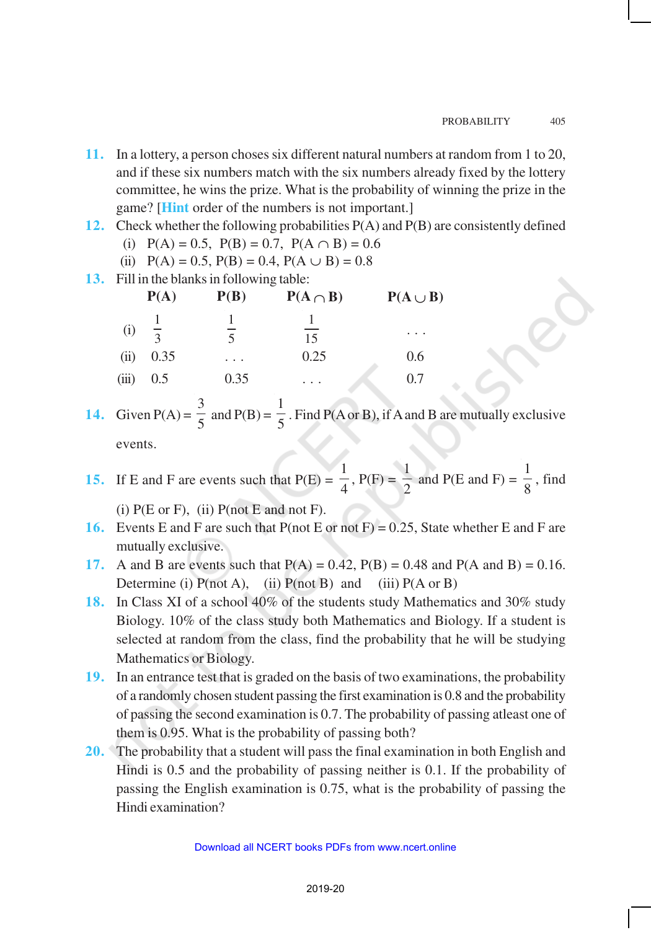- **11.** In a lottery, a person choses six different natural numbers at random from 1 to 20, and if these six numbers match with the six numbers already fixed by the lottery committee, he wins the prize. What is the probability of winning the prize in the game? [**Hint** order of the numbers is not important.]
- **12.** Check whether the following probabilities P(A) and P(B) are consistently defined
	- (i)  $P(A) = 0.5$ ,  $P(B) = 0.7$ ,  $P(A \cap B) = 0.6$
	- (ii)  $P(A) = 0.5$ ,  $P(B) = 0.4$ ,  $P(A \cup B) = 0.8$
- **13.** Fill in the blanks in following table:

|       | P(A)           | P(B)          | $P(A \cap B)$   | $P(A \cup B)$ |
|-------|----------------|---------------|-----------------|---------------|
| (i)   | $\overline{3}$ |               | $\overline{15}$ | $\cdots$      |
| (ii)  | 0.35           | 5<br>$\cdots$ | 0.25            | 0.6           |
| (iii) | $0.5^{\circ}$  | 0.35          | $\cdots$        | 0.7           |

**14.** Given  $P(A) = \frac{1}{5}$ 3 and  $P(B) = \frac{1}{5}$ 1 . Find P(A or B), if A and B are mutually exclusive events.

**15.** If E and F are events such that  $P(E) = \frac{1}{4}$ 1 ,  $P(F) = \frac{1}{2}$ 1 and P(E and F) =  $\frac{1}{8}$ 1 , find

(i)  $P(E \text{ or } F)$ , (ii)  $P(\text{not } E \text{ and not } F)$ .

- **16.** Events E and F are such that  $P(\text{not } E \text{ or not } F) = 0.25$ , State whether E and F are mutually exclusive.
- **17.** A and B are events such that  $P(A) = 0.42$ ,  $P(B) = 0.48$  and  $P(A \text{ and } B) = 0.16$ . Determine (i)  $P(\text{not } A)$ , (ii)  $P(\text{not } B)$  and (iii)  $P(A \text{ or } B)$
- **18.** In Class XI of a school 40% of the students study Mathematics and 30% study Biology. 10% of the class study both Mathematics and Biology. If a student is selected at random from the class, find the probability that he will be studying Mathematics or Biology.
- **19.** In an entrance test that is graded on the basis of two examinations, the probability of a randomly chosen student passing the first examination is 0.8 and the probability of passing the second examination is 0.7. The probability of passing atleast one of them is 0.95. What is the probability of passing both?
- **20.** The probability that a student will pass the final examination in both English and Hindi is 0.5 and the probability of passing neither is 0.1. If the probability of passing the English examination is 0.75, what is the probability of passing the Hindi examination?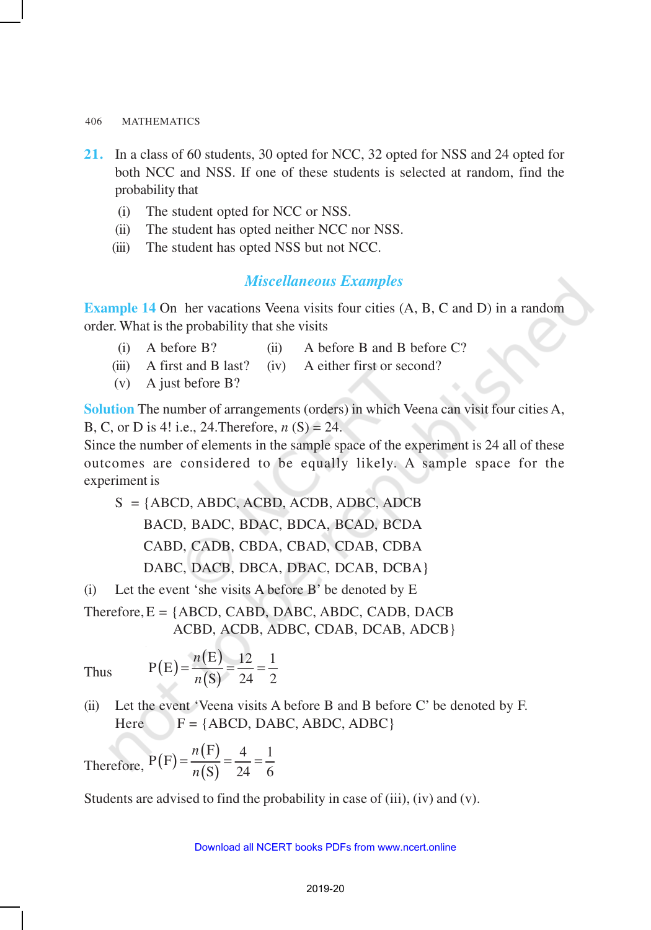- **21.** In a class of 60 students, 30 opted for NCC, 32 opted for NSS and 24 opted for both NCC and NSS. If one of these students is selected at random, find the probability that
	- (i) The student opted for NCC or NSS.
	- (ii) The student has opted neither NCC nor NSS.
	- (iii) The student has opted NSS but not NCC.

## *Miscellaneous Examples*

**Example 14** On her vacations Veena visits four cities (A, B, C and D) in a random order. What is the probability that she visits

- (i) A before B? (ii) A before B and B before C?
- (iii) A first and B last? (iv) A either first or second?
- (v) A just before B?

**Solution** The number of arrangements (orders) in which Veena can visit four cities A, B, C, or D is 4! i.e., 24.Therefore, *n* (S) = 24.

Since the number of elements in the sample space of the experiment is 24 all of these outcomes are considered to be equally likely. A sample space for the experiment is

 $S = \{ABCD, ABDC, ACBD, ACDB, ADBC, ADCB$ BACD, BADC, BDAC, BDCA, BCAD, BCDA CABD, CADB, CBDA, CBAD, CDAB, CDBA DABC, DACB, DBCA, DBAC, DCAB, DCBA}

(i) Let the event 'she visits A before B' be denoted by E

Therefore,  $E = \{ ABCD, CABD, DABC, ABDC, CADB, DACB$ ACBD, ACDB, ADBC, CDAB, DCAB, ADCB}

Thus  $P(E) = \frac{n(E)}{n(S)}$  $P(E) = \frac{n(E)}{n(S)} = \frac{12}{34} = \frac{1}{2}$  $S)$  24 2 *n n*  $=\frac{12}{16}=\frac{12}{16}=\frac{12}{16}=\frac{12}{16}=\frac{12}{16}=\frac{12}{16}=\frac{12}{16}=\frac{12}{16}=\frac{12}{16}=\frac{12}{16}=\frac{12}{16}=\frac{12}{16}=\frac{12}{16}=\frac{12}{16}=\frac{12}{16}=\frac{12}{16}=\frac{12}{16}=\frac{12}{16}=\frac{12}{16}=\frac{12}{16}=\frac{12}{16}=\frac{12}{16}=\frac{12}{16}=\frac{12}{16}=\frac{1$ 

(ii) Let the event 'Veena visits A before B and B before C' be denoted by F. Here  $F = \{ABCD, DABC, ABDC, ADBC\}$ 

Therefore, 
$$
P(F) = \frac{n(F)}{n(S)} = \frac{4}{24} = \frac{1}{6}
$$

Students are advised to find the probability in case of (iii), (iv) and (v).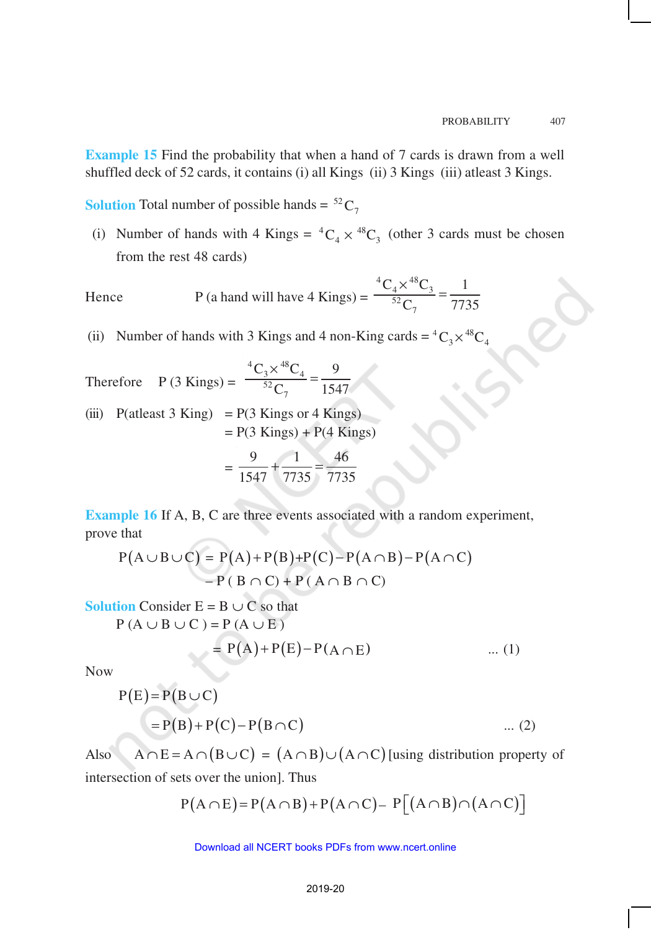**Example 15** Find the probability that when a hand of 7 cards is drawn from a well shuffled deck of 52 cards, it contains (i) all Kings (ii) 3 Kings (iii) atleast 3 Kings.

**Solution** Total number of possible hands =  ${}^{52}C_7$ 

(i) Number of hands with 4 Kings =  ${}^{4}C_{4} \times {}^{48}C_{3}$  (other 3 cards must be chosen from the rest 48 cards)

Hence  $P$  (a hand will have 4 Kings) =  ${}^{4}C_{4}\times {}^{48}C_{3}$  ${}^{52}C_7$  $C_4 \times ^{48}C_3$  1  $C_7$  7735  $\times^{48}C_3 =$ 

(ii) Number of hands with 3 Kings and 4 non-King cards =  ${}^4C_3 \times {}^{48}C_4$ 

Therefore P (3 Kings) = 
$$
\frac{{}^{4}C_{3} \times {}^{48}C_{4}}{{}^{52}C_{7}} = \frac{9}{1547}
$$

(iii) P(at least 3 King) =  $P(3$  Kings or 4 Kings)  $= P(3 \text{ Kings}) + P(4 \text{ Kings})$ = 9 1 46 1547 7735 7735  $+\frac{1}{2}$  =

**Example 16** If A, B, C are three events associated with a random experiment, prove that

$$
P(A \cup B \cup C) = P(A) + P(B) + P(C) - P(A \cap B) - P(A \cap C)
$$
  
- P ( B \cap C) + P ( A \cap B \cap C)

**Solution** Consider  $E = B \cup C$  so that

 $P(A \cup B \cup C) = P(A \cup E)$ 

$$
= P(A) + P(E) - P(A \cap E) \qquad \qquad \dots (1)
$$

Now

$$
P(E) = P(B \cup C)
$$
  
= P(B) + P(C) - P(B \cap C) ... (2)

Also  $A \cap E = A \cap (B \cup C) = (A \cap B) \cup (A \cap C)$  [using distribution property of intersection of sets over the union]. Thus

$$
P(A \cap E) = P(A \cap B) + P(A \cap C) - P[(A \cap B) \cap (A \cap C)]
$$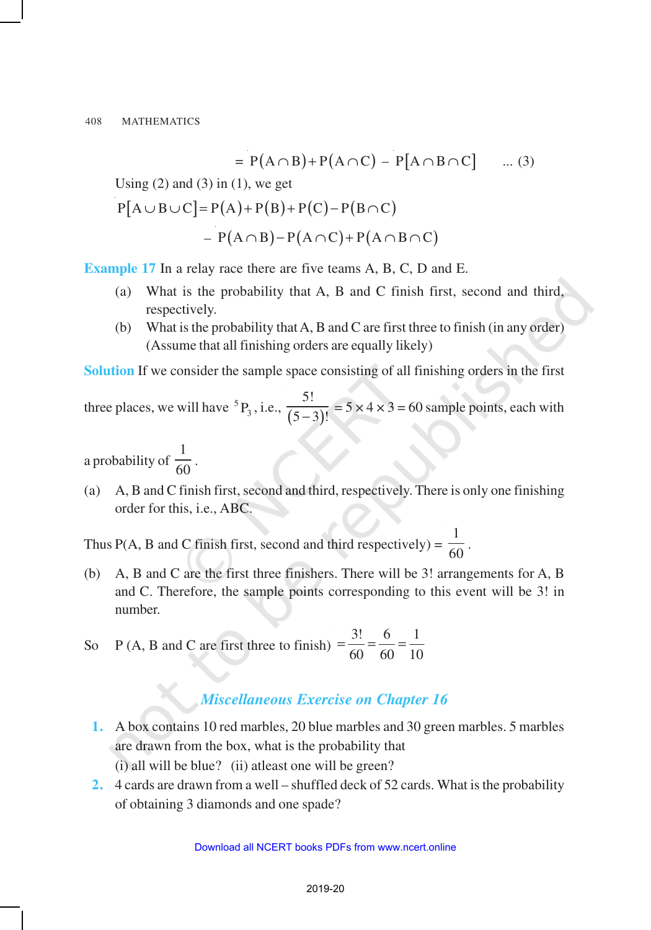$$
= P(A \cap B) + P(A \cap C) - P[A \cap B \cap C] \quad \dots (3)
$$
  
Using (2) and (3) in (1) we get

$$
P[A \cup B \cup C] = P(A) + P(B) + P(C) - P(B \cap C)
$$
  
- P(A \cap B) - P(A \cap C) + P(A \cap B \cap C)

**Example 17** In a relay race there are five teams A, B, C, D and E.

- (a) What is the probability that A, B and C finish first, second and third, respectively.
- (b) What is the probability that A, B and C are first three to finish (in any order) (Assume that all finishing orders are equally likely)

**Solution** If we consider the sample space consisting of all finishing orders in the first

three places, we will have <sup>5</sup>P<sub>3</sub>, i.e.,  $\frac{5!}{(5-3)}$  $\frac{3!}{(5-3)!}$  = 5 × 4 × 3 = 60 sample points, each with

a probability of 1  $\frac{1}{60}$ .

(a) A, B and C finish first, second and third, respectively. There is only one finishing order for this, i.e., ABC.

Thus  $P(A, B \text{ and } C \text{ finish first, second and third respectively}) =$ 1  $\frac{1}{60}$ .

- (b) A, B and C are the first three finishers. There will be 3! arrangements for A, B and C. Therefore, the sample points corresponding to this event will be 3! in number.
- So  $P(A, B \text{ and } C \text{ are first three to finish})$ 3! 6 1 60 60 10  $=\frac{34}{10}=\frac{6}{10}=\frac{3}{10}=\frac{3}{10}=\frac{3}{10}=\frac{3}{10}=\frac{3}{10}=\frac{3}{10}=\frac{3}{10}=\frac{3}{10}=\frac{3}{10}=\frac{3}{10}=\frac{3}{10}=\frac{3}{10}=\frac{3}{10}=\frac{3}{10}=\frac{3}{10}=\frac{3}{10}=\frac{3}{10}=\frac{3}{10}=\frac{3}{10}=\frac{3}{10}=\frac{3}{10}=\frac{3}{10}=\frac{3}{10}=\frac{3}{10}=\frac{3}{10}=\frac{$

## *Miscellaneous Exercise on Chapter 16*

- **1.** A box contains 10 red marbles, 20 blue marbles and 30 green marbles. 5 marbles are drawn from the box, what is the probability that (i) all will be blue? (ii) atleast one will be green?
- **2.** 4 cards are drawn from a well shuffled deck of 52 cards. What is the probability of obtaining 3 diamonds and one spade?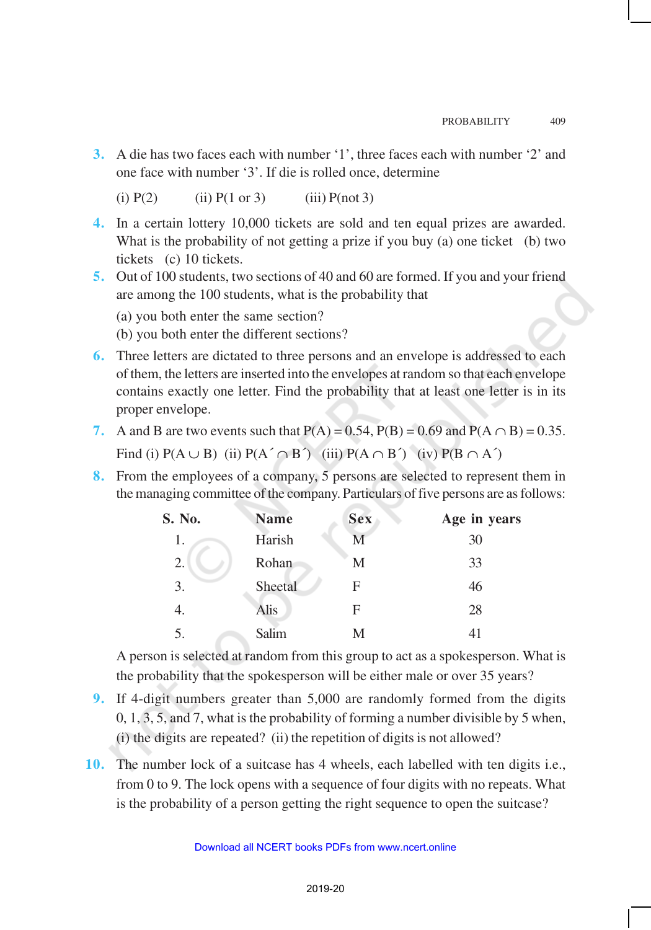**3.** A die has two faces each with number '1', three faces each with number '2' and one face with number '3'. If die is rolled once, determine

(i)  $P(2)$  (ii)  $P(1 \text{ or } 3)$  (iii)  $P(\text{not } 3)$ 

- **4.** In a certain lottery 10,000 tickets are sold and ten equal prizes are awarded. What is the probability of not getting a prize if you buy (a) one ticket (b) two tickets (c) 10 tickets.
- **5.** Out of 100 students, two sections of 40 and 60 are formed. If you and your friend are among the 100 students, what is the probability that

(a) you both enter the same section?

(b) you both enter the different sections?

- **6.** Three letters are dictated to three persons and an envelope is addressed to each of them, the letters are inserted into the envelopes at random so that each envelope contains exactly one letter. Find the probability that at least one letter is in its proper envelope.
- **7.** A and B are two events such that  $P(A) = 0.54$ ,  $P(B) = 0.69$  and  $P(A \cap B) = 0.35$ . Find (i)  $P(A \cup B)$  (ii)  $P(A' \cap B')$  (iii)  $P(A \cap B')$  (iv)  $P(B \cap A')$
- **8.** From the employees of a company, 5 persons are selected to represent them in the managing committee of the company. Particulars of five persons are as follows:

| S. No. | <b>Name</b> | <b>Sex</b> | Age in years |
|--------|-------------|------------|--------------|
| 1.     | Harish      | М          | 30           |
| 2.     | Rohan       | M          | 33           |
| 3.     | Sheetal     | F          | 46           |
| 4.     | Alis        | F          | 28           |
| 5.     | Salim       | М          | 41           |

A person is selected at random from this group to act as a spokesperson. What is the probability that the spokesperson will be either male or over 35 years?

- **9.** If 4-digit numbers greater than 5,000 are randomly formed from the digits 0, 1, 3, 5, and 7, what is the probability of forming a number divisible by 5 when, (i) the digits are repeated? (ii) the repetition of digits is not allowed?
- **10.** The number lock of a suitcase has 4 wheels, each labelled with ten digits i.e., from 0 to 9. The lock opens with a sequence of four digits with no repeats. What is the probability of a person getting the right sequence to open the suitcase?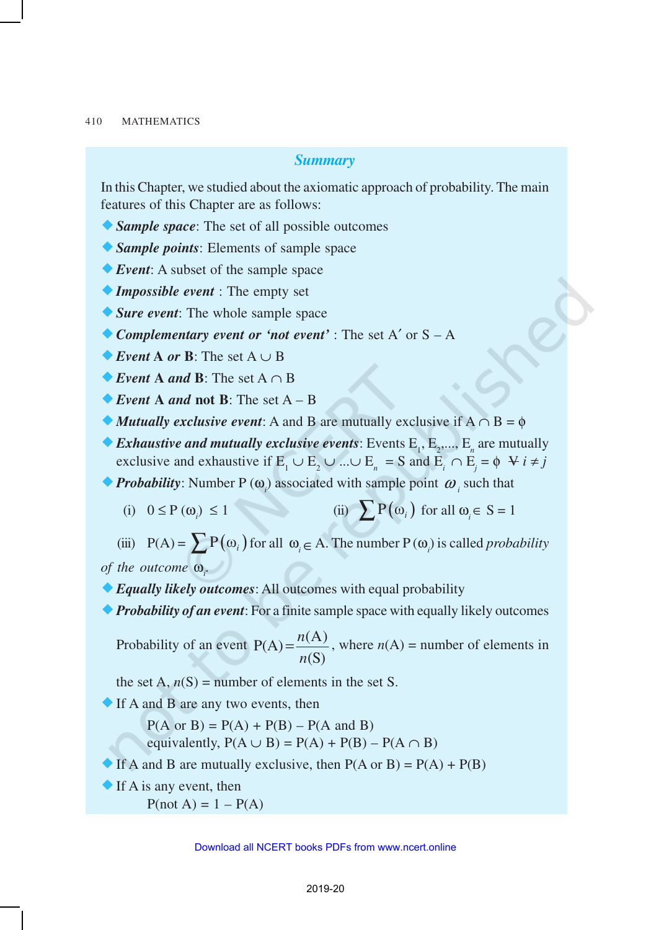#### *Summary*

In this Chapter, we studied about the axiomatic approach of probability. The main features of this Chapter are as follows:

- ®*Sample space*: The set of all possible outcomes
- ◆ *Sample points*: Elements of sample space
- ◆ *Event*: A subset of the sample space
- ®*Impossible event* : The empty set
- ◆ *Sure event*: The whole sample space
- ®*Complementary event or 'not event'* : The set A′ or S A
- ®*Event* **<sup>A</sup>** *or* **B**: The set A <sup>∪</sup><sup>B</sup>
- ®*Event* **A** *and* **B**: The set A <sup>∩</sup><sup>B</sup>
- ®*Event* **A** *and* **not B**: The set A B
- $\triangle$  *Mutually exclusive event*: A and B are mutually exclusive if  $A \cap B = \emptyset$
- $\blacklozenge$  *Exhaustive and mutually exclusive events*: Events  $E_1, E_2, ..., E_n$  are mutually exclusive and exhaustive if  $E_1 \cup E_2 \cup ... \cup E_n = S$  and  $E_i \cap E_j = \emptyset$   $\forall i \neq j$
- *Probability*: Number P ( $\omega$ <sub>*i*</sub>) associated with sample point  $\omega$ <sub>*i*</sub> such that
	- (i) 0 ≤ P ( $\omega$ <sub>*i*</sub>) ≤ 1 (ii)  $\sum P(\omega_i)$  for all  $\omega_i \in S = 1$

(iii)  $P(A) = \sum P(\omega_i)$  for all  $\omega_i \in A$ . The number  $P(\omega_i)$  is called *probability of the outcome* ω*<sup>i</sup> .*

®*Equally likely outcomes*: All outcomes with equal probability

®*Probability of an event*: For a finite sample space with equally likely outcomes

Probability of an event  $P(A) = \frac{n(A)}{n(A)}$ (S) *n n*  $=\frac{n(11)}{n}$ , where  $n(A)$  = number of elements in

the set A,  $n(S)$  = number of elements in the set S.

®If A and B are any two events, then

 $P(A \text{ or } B) = P(A) + P(B) - P(A \text{ and } B)$ 

equivalently,  $P(A \cup B) = P(A) + P(B) - P(A \cap B)$ 

If A and B are mutually exclusive, then  $P(A \text{ or } B) = P(A) + P(B)$ 

If A is any event, then

 $P($ not A $) = 1 - P(A)$